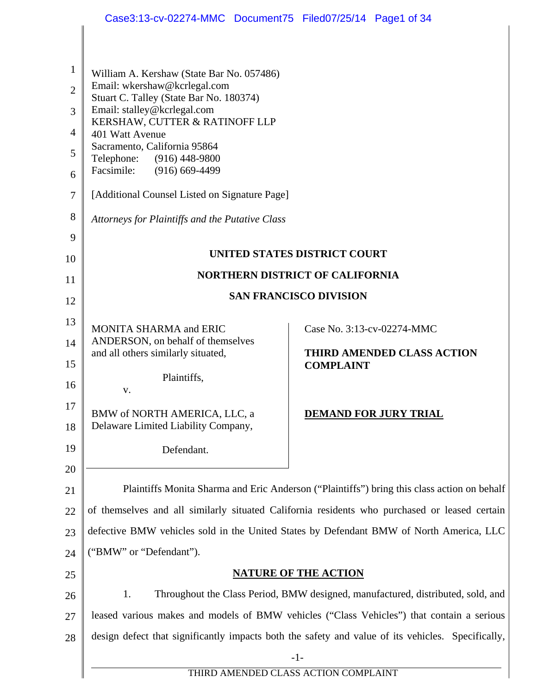|                | Case3:13-cv-02274-MMC Document75 Filed07/25/14 Page1 of 34                                                                                                                                                                                                            |                                                                                                   |  |
|----------------|-----------------------------------------------------------------------------------------------------------------------------------------------------------------------------------------------------------------------------------------------------------------------|---------------------------------------------------------------------------------------------------|--|
|                |                                                                                                                                                                                                                                                                       |                                                                                                   |  |
|                |                                                                                                                                                                                                                                                                       |                                                                                                   |  |
| $\mathbf{1}$   | William A. Kershaw (State Bar No. 057486)<br>Email: wkershaw@kcrlegal.com<br>Stuart C. Talley (State Bar No. 180374)<br>Email: stalley@kcrlegal.com<br>KERSHAW, CUTTER & RATINOFF LLP<br>401 Watt Avenue<br>Sacramento, California 95864<br>Telephone: (916) 448-9800 |                                                                                                   |  |
| $\overline{2}$ |                                                                                                                                                                                                                                                                       |                                                                                                   |  |
| 3              |                                                                                                                                                                                                                                                                       |                                                                                                   |  |
| $\overline{4}$ |                                                                                                                                                                                                                                                                       |                                                                                                   |  |
| 5              |                                                                                                                                                                                                                                                                       |                                                                                                   |  |
| 6              | Facsimile:<br>$(916)$ 669-4499                                                                                                                                                                                                                                        |                                                                                                   |  |
| $\tau$         | [Additional Counsel Listed on Signature Page]                                                                                                                                                                                                                         |                                                                                                   |  |
| 8              | Attorneys for Plaintiffs and the Putative Class                                                                                                                                                                                                                       |                                                                                                   |  |
| 9              |                                                                                                                                                                                                                                                                       |                                                                                                   |  |
| 10             |                                                                                                                                                                                                                                                                       | UNITED STATES DISTRICT COURT                                                                      |  |
| 11             |                                                                                                                                                                                                                                                                       | <b>NORTHERN DISTRICT OF CALIFORNIA</b>                                                            |  |
| 12             | <b>SAN FRANCISCO DIVISION</b>                                                                                                                                                                                                                                         |                                                                                                   |  |
| 13             | MONITA SHARMA and ERIC                                                                                                                                                                                                                                                | Case No. 3:13-cv-02274-MMC                                                                        |  |
| 14             | ANDERSON, on behalf of themselves                                                                                                                                                                                                                                     |                                                                                                   |  |
| 15             | and all others similarly situated,                                                                                                                                                                                                                                    | <b>THIRD AMENDED CLASS ACTION</b><br><b>COMPLAINT</b>                                             |  |
| 16             | Plaintiffs,                                                                                                                                                                                                                                                           |                                                                                                   |  |
| 17             | V.                                                                                                                                                                                                                                                                    |                                                                                                   |  |
| 18             | BMW of NORTH AMERICA, LLC, a<br>Delaware Limited Liability Company,                                                                                                                                                                                                   | <b>DEMAND FOR JURY TRIAL</b>                                                                      |  |
| 19             |                                                                                                                                                                                                                                                                       |                                                                                                   |  |
| 20             | Defendant.                                                                                                                                                                                                                                                            |                                                                                                   |  |
| 21             |                                                                                                                                                                                                                                                                       |                                                                                                   |  |
| 22             | Plaintiffs Monita Sharma and Eric Anderson ("Plaintiffs") bring this class action on behalf                                                                                                                                                                           |                                                                                                   |  |
| 23             | of themselves and all similarly situated California residents who purchased or leased certain                                                                                                                                                                         |                                                                                                   |  |
|                | defective BMW vehicles sold in the United States by Defendant BMW of North America, LLC                                                                                                                                                                               |                                                                                                   |  |
| 24             | ("BMW" or "Defendant").                                                                                                                                                                                                                                               |                                                                                                   |  |
| 25             | <b>NATURE OF THE ACTION</b>                                                                                                                                                                                                                                           |                                                                                                   |  |
| 26             | 1.<br>Throughout the Class Period, BMW designed, manufactured, distributed, sold, and                                                                                                                                                                                 |                                                                                                   |  |
| 27             | leased various makes and models of BMW vehicles ("Class Vehicles") that contain a serious                                                                                                                                                                             |                                                                                                   |  |
| 28             |                                                                                                                                                                                                                                                                       | design defect that significantly impacts both the safety and value of its vehicles. Specifically, |  |
|                | $-1-$<br>THIRD AMENDED CLASS ACTION COMPLAINT                                                                                                                                                                                                                         |                                                                                                   |  |
|                |                                                                                                                                                                                                                                                                       |                                                                                                   |  |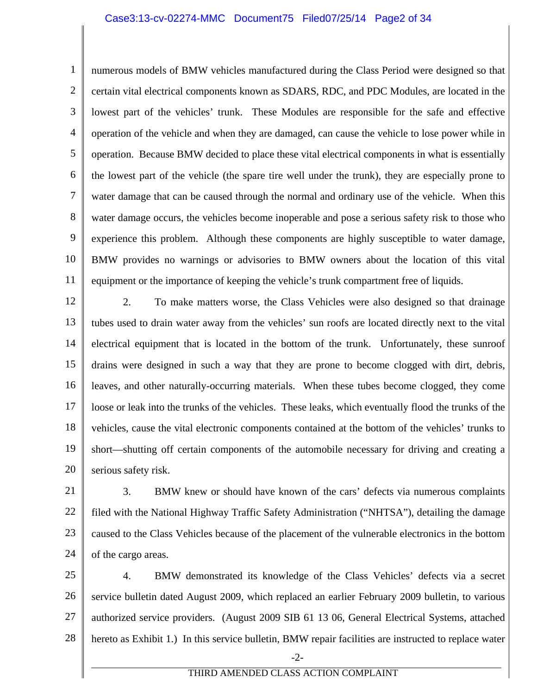### Case3:13-cv-02274-MMC Document75 Filed07/25/14 Page2 of 34

1 2 3 4 5 6 7 8 9 10 11 numerous models of BMW vehicles manufactured during the Class Period were designed so that certain vital electrical components known as SDARS, RDC, and PDC Modules, are located in the lowest part of the vehicles' trunk. These Modules are responsible for the safe and effective operation of the vehicle and when they are damaged, can cause the vehicle to lose power while in operation. Because BMW decided to place these vital electrical components in what is essentially the lowest part of the vehicle (the spare tire well under the trunk), they are especially prone to water damage that can be caused through the normal and ordinary use of the vehicle. When this water damage occurs, the vehicles become inoperable and pose a serious safety risk to those who experience this problem. Although these components are highly susceptible to water damage, BMW provides no warnings or advisories to BMW owners about the location of this vital equipment or the importance of keeping the vehicle's trunk compartment free of liquids.

12 13 14 15 16 17 18 19 20 2. To make matters worse, the Class Vehicles were also designed so that drainage tubes used to drain water away from the vehicles' sun roofs are located directly next to the vital electrical equipment that is located in the bottom of the trunk. Unfortunately, these sunroof drains were designed in such a way that they are prone to become clogged with dirt, debris, leaves, and other naturally-occurring materials. When these tubes become clogged, they come loose or leak into the trunks of the vehicles. These leaks, which eventually flood the trunks of the vehicles, cause the vital electronic components contained at the bottom of the vehicles' trunks to short—shutting off certain components of the automobile necessary for driving and creating a serious safety risk.

21 22 23 24 3. BMW knew or should have known of the cars' defects via numerous complaints filed with the National Highway Traffic Safety Administration ("NHTSA"), detailing the damage caused to the Class Vehicles because of the placement of the vulnerable electronics in the bottom of the cargo areas.

25 26 27 28 4. BMW demonstrated its knowledge of the Class Vehicles' defects via a secret service bulletin dated August 2009, which replaced an earlier February 2009 bulletin, to various authorized service providers. (August 2009 SIB 61 13 06, General Electrical Systems, attached hereto as Exhibit 1.) In this service bulletin, BMW repair facilities are instructed to replace water

-2-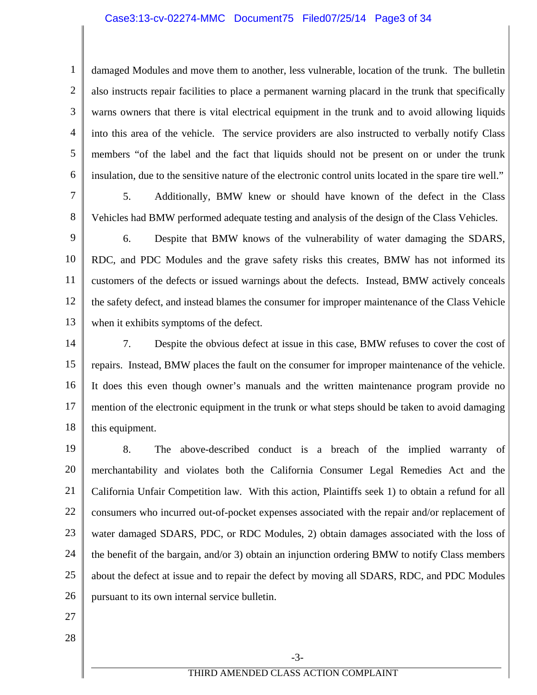# Case3:13-cv-02274-MMC Document75 Filed07/25/14 Page3 of 34

4 6 damaged Modules and move them to another, less vulnerable, location of the trunk. The bulletin also instructs repair facilities to place a permanent warning placard in the trunk that specifically warns owners that there is vital electrical equipment in the trunk and to avoid allowing liquids into this area of the vehicle. The service providers are also instructed to verbally notify Class members "of the label and the fact that liquids should not be present on or under the trunk insulation, due to the sensitive nature of the electronic control units located in the spare tire well."

5. Additionally, BMW knew or should have known of the defect in the Class Vehicles had BMW performed adequate testing and analysis of the design of the Class Vehicles.

9 10 11 12 13 6. Despite that BMW knows of the vulnerability of water damaging the SDARS, RDC, and PDC Modules and the grave safety risks this creates, BMW has not informed its customers of the defects or issued warnings about the defects. Instead, BMW actively conceals the safety defect, and instead blames the consumer for improper maintenance of the Class Vehicle when it exhibits symptoms of the defect.

14 15 16 17 18 7. Despite the obvious defect at issue in this case, BMW refuses to cover the cost of repairs. Instead, BMW places the fault on the consumer for improper maintenance of the vehicle. It does this even though owner's manuals and the written maintenance program provide no mention of the electronic equipment in the trunk or what steps should be taken to avoid damaging this equipment.

19 20 21 22 23 24 25 26 8. The above-described conduct is a breach of the implied warranty of merchantability and violates both the California Consumer Legal Remedies Act and the California Unfair Competition law. With this action, Plaintiffs seek 1) to obtain a refund for all consumers who incurred out-of-pocket expenses associated with the repair and/or replacement of water damaged SDARS, PDC, or RDC Modules, 2) obtain damages associated with the loss of the benefit of the bargain, and/or 3) obtain an injunction ordering BMW to notify Class members about the defect at issue and to repair the defect by moving all SDARS, RDC, and PDC Modules pursuant to its own internal service bulletin.

27

1

2

3

5

7

8

28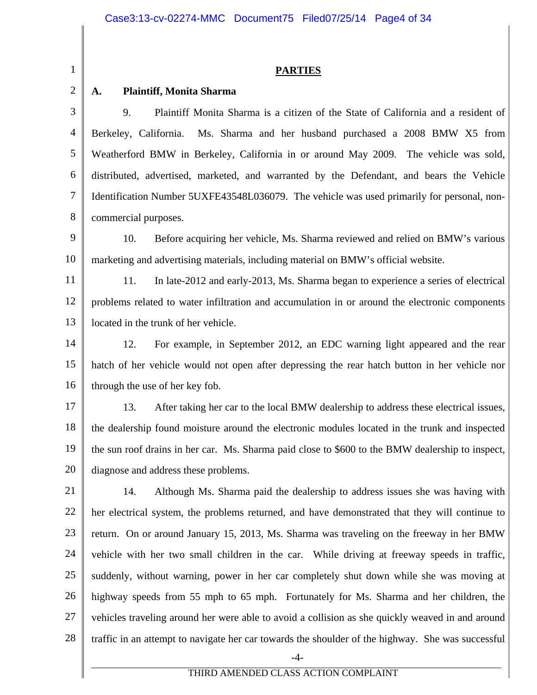### **PARTIES**

### **A. Plaintiff, Monita Sharma**

1

2

3 4 5 6 7 8 9. Plaintiff Monita Sharma is a citizen of the State of California and a resident of Berkeley, California. Ms. Sharma and her husband purchased a 2008 BMW X5 from Weatherford BMW in Berkeley, California in or around May 2009. The vehicle was sold, distributed, advertised, marketed, and warranted by the Defendant, and bears the Vehicle Identification Number 5UXFE43548L036079. The vehicle was used primarily for personal, noncommercial purposes.

9 10 10. Before acquiring her vehicle, Ms. Sharma reviewed and relied on BMW's various marketing and advertising materials, including material on BMW's official website.

11 12 13 11. In late-2012 and early-2013, Ms. Sharma began to experience a series of electrical problems related to water infiltration and accumulation in or around the electronic components located in the trunk of her vehicle.

14 15 16 12. For example, in September 2012, an EDC warning light appeared and the rear hatch of her vehicle would not open after depressing the rear hatch button in her vehicle nor through the use of her key fob.

17 18 19 20 13. After taking her car to the local BMW dealership to address these electrical issues, the dealership found moisture around the electronic modules located in the trunk and inspected the sun roof drains in her car. Ms. Sharma paid close to \$600 to the BMW dealership to inspect, diagnose and address these problems.

21 22 23 24 25 26 27 28 14. Although Ms. Sharma paid the dealership to address issues she was having with her electrical system, the problems returned, and have demonstrated that they will continue to return. On or around January 15, 2013, Ms. Sharma was traveling on the freeway in her BMW vehicle with her two small children in the car. While driving at freeway speeds in traffic, suddenly, without warning, power in her car completely shut down while she was moving at highway speeds from 55 mph to 65 mph. Fortunately for Ms. Sharma and her children, the vehicles traveling around her were able to avoid a collision as she quickly weaved in and around traffic in an attempt to navigate her car towards the shoulder of the highway. She was successful

-4-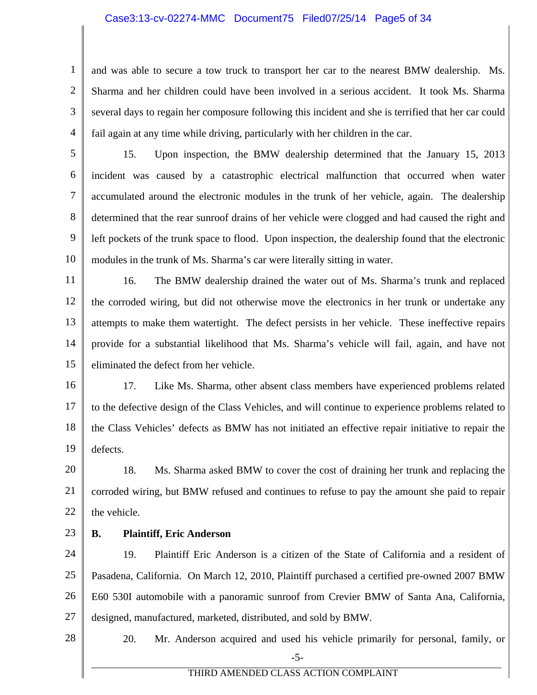### Case3:13-cv-02274-MMC Document75 Filed07/25/14 Page5 of 34

2 3 4 and was able to secure a tow truck to transport her car to the nearest BMW dealership. Ms. Sharma and her children could have been involved in a serious accident. It took Ms. Sharma several days to regain her composure following this incident and she is terrified that her car could fail again at any time while driving, particularly with her children in the car.

5 6 7 8 9 10 15. Upon inspection, the BMW dealership determined that the January 15, 2013 incident was caused by a catastrophic electrical malfunction that occurred when water accumulated around the electronic modules in the trunk of her vehicle, again. The dealership determined that the rear sunroof drains of her vehicle were clogged and had caused the right and left pockets of the trunk space to flood. Upon inspection, the dealership found that the electronic modules in the trunk of Ms. Sharma's car were literally sitting in water.

11 12 13 14 15 16. The BMW dealership drained the water out of Ms. Sharma's trunk and replaced the corroded wiring, but did not otherwise move the electronics in her trunk or undertake any attempts to make them watertight. The defect persists in her vehicle. These ineffective repairs provide for a substantial likelihood that Ms. Sharma's vehicle will fail, again, and have not eliminated the defect from her vehicle.

16 17 18 19 17. Like Ms. Sharma, other absent class members have experienced problems related to the defective design of the Class Vehicles, and will continue to experience problems related to the Class Vehicles' defects as BMW has not initiated an effective repair initiative to repair the defects.

20 21 22 18. Ms. Sharma asked BMW to cover the cost of draining her trunk and replacing the corroded wiring, but BMW refused and continues to refuse to pay the amount she paid to repair the vehicle.

23

1

# **B. Plaintiff, Eric Anderson**

24 25 26 27 19. Plaintiff Eric Anderson is a citizen of the State of California and a resident of Pasadena, California. On March 12, 2010, Plaintiff purchased a certified pre-owned 2007 BMW E60 530I automobile with a panoramic sunroof from Crevier BMW of Santa Ana, California, designed, manufactured, marketed, distributed, and sold by BMW.

28 -5- 20. Mr. Anderson acquired and used his vehicle primarily for personal, family, or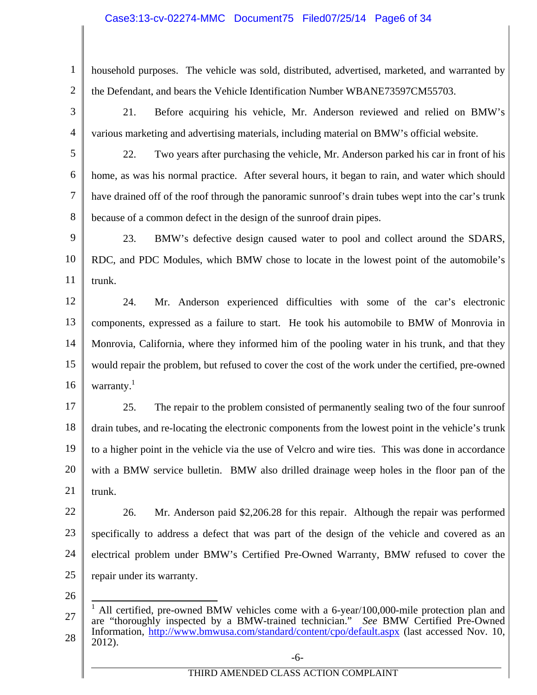# Case3:13-cv-02274-MMC Document75 Filed07/25/14 Page6 of 34

2 household purposes. The vehicle was sold, distributed, advertised, marketed, and warranted by the Defendant, and bears the Vehicle Identification Number WBANE73597CM55703.

3

1

21. Before acquiring his vehicle, Mr. Anderson reviewed and relied on BMW's various marketing and advertising materials, including material on BMW's official website.

5

6

7

8

4

22. Two years after purchasing the vehicle, Mr. Anderson parked his car in front of his home, as was his normal practice. After several hours, it began to rain, and water which should have drained off of the roof through the panoramic sunroof's drain tubes wept into the car's trunk because of a common defect in the design of the sunroof drain pipes.

9 10 11 23. BMW's defective design caused water to pool and collect around the SDARS, RDC, and PDC Modules, which BMW chose to locate in the lowest point of the automobile's trunk.

12 13 14 15 16 24. Mr. Anderson experienced difficulties with some of the car's electronic components, expressed as a failure to start. He took his automobile to BMW of Monrovia in Monrovia, California, where they informed him of the pooling water in his trunk, and that they would repair the problem, but refused to cover the cost of the work under the certified, pre-owned warranty.<sup>1</sup>

17 18 19 20 21 25. The repair to the problem consisted of permanently sealing two of the four sunroof drain tubes, and re-locating the electronic components from the lowest point in the vehicle's trunk to a higher point in the vehicle via the use of Velcro and wire ties. This was done in accordance with a BMW service bulletin. BMW also drilled drainage weep holes in the floor pan of the trunk.

22 23 24 25 26. Mr. Anderson paid \$2,206.28 for this repair. Although the repair was performed specifically to address a defect that was part of the design of the vehicle and covered as an electrical problem under BMW's Certified Pre-Owned Warranty, BMW refused to cover the repair under its warranty.

26

<sup>27</sup>  28  $\overline{a}$ 1 All certified, pre-owned BMW vehicles come with a 6-year/100,000-mile protection plan and are "thoroughly inspected by a BMW-trained technician." *See* BMW Certified Pre-Owned Information, http://www.bmwusa.com/standard/content/cpo/default.aspx (last accessed Nov. 10, 2012).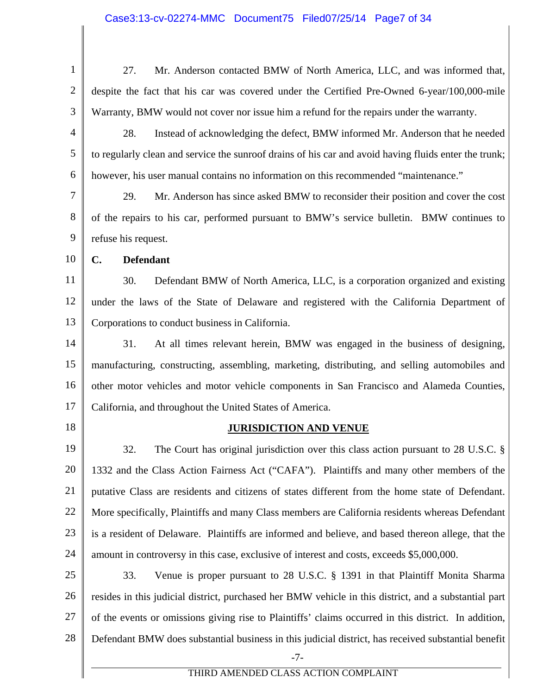1 2 3 4 5 6 7 8 9 10 11 12 13 14 15 16 17 18 19 20 21 22 23 24 25 26 27 28 -7- THIRD AMENDED CLASS ACTION COMPLAINT 27. Mr. Anderson contacted BMW of North America, LLC, and was informed that, despite the fact that his car was covered under the Certified Pre-Owned 6-year/100,000-mile Warranty, BMW would not cover nor issue him a refund for the repairs under the warranty. 28. Instead of acknowledging the defect, BMW informed Mr. Anderson that he needed to regularly clean and service the sunroof drains of his car and avoid having fluids enter the trunk; however, his user manual contains no information on this recommended "maintenance." 29. Mr. Anderson has since asked BMW to reconsider their position and cover the cost of the repairs to his car, performed pursuant to BMW's service bulletin. BMW continues to refuse his request. **C. Defendant**  30. Defendant BMW of North America, LLC, is a corporation organized and existing under the laws of the State of Delaware and registered with the California Department of Corporations to conduct business in California. 31. At all times relevant herein, BMW was engaged in the business of designing, manufacturing, constructing, assembling, marketing, distributing, and selling automobiles and other motor vehicles and motor vehicle components in San Francisco and Alameda Counties, California, and throughout the United States of America. **JURISDICTION AND VENUE** 32. The Court has original jurisdiction over this class action pursuant to 28 U.S.C. § 1332 and the Class Action Fairness Act ("CAFA"). Plaintiffs and many other members of the putative Class are residents and citizens of states different from the home state of Defendant. More specifically, Plaintiffs and many Class members are California residents whereas Defendant is a resident of Delaware. Plaintiffs are informed and believe, and based thereon allege, that the amount in controversy in this case, exclusive of interest and costs, exceeds \$5,000,000. 33. Venue is proper pursuant to 28 U.S.C. § 1391 in that Plaintiff Monita Sharma resides in this judicial district, purchased her BMW vehicle in this district, and a substantial part of the events or omissions giving rise to Plaintiffs' claims occurred in this district. In addition, Defendant BMW does substantial business in this judicial district, has received substantial benefit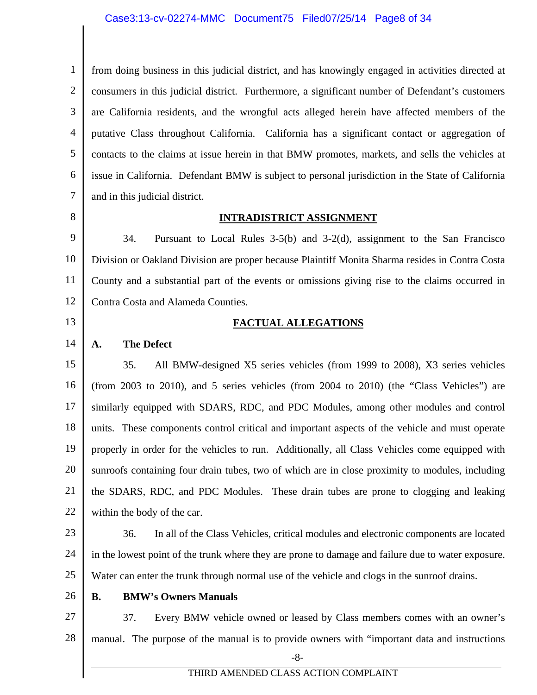### Case3:13-cv-02274-MMC Document75 Filed07/25/14 Page8 of 34

1 2 3 4 5 6 7 from doing business in this judicial district, and has knowingly engaged in activities directed at consumers in this judicial district. Furthermore, a significant number of Defendant's customers are California residents, and the wrongful acts alleged herein have affected members of the putative Class throughout California. California has a significant contact or aggregation of contacts to the claims at issue herein in that BMW promotes, markets, and sells the vehicles at issue in California. Defendant BMW is subject to personal jurisdiction in the State of California and in this judicial district.

8

### **INTRADISTRICT ASSIGNMENT**

9 10 11 12 34. Pursuant to Local Rules 3-5(b) and 3-2(d), assignment to the San Francisco Division or Oakland Division are proper because Plaintiff Monita Sharma resides in Contra Costa County and a substantial part of the events or omissions giving rise to the claims occurred in Contra Costa and Alameda Counties.

13

# **FACTUAL ALLEGATIONS**

### 14 **A. The Defect**

15 16 17 18 19 20 21 22 35. All BMW-designed X5 series vehicles (from 1999 to 2008), X3 series vehicles (from 2003 to 2010), and 5 series vehicles (from 2004 to 2010) (the "Class Vehicles") are similarly equipped with SDARS, RDC, and PDC Modules, among other modules and control units. These components control critical and important aspects of the vehicle and must operate properly in order for the vehicles to run. Additionally, all Class Vehicles come equipped with sunroofs containing four drain tubes, two of which are in close proximity to modules, including the SDARS, RDC, and PDC Modules. These drain tubes are prone to clogging and leaking within the body of the car.

23

24 25 36. In all of the Class Vehicles, critical modules and electronic components are located in the lowest point of the trunk where they are prone to damage and failure due to water exposure. Water can enter the trunk through normal use of the vehicle and clogs in the sunroof drains.

26

### **B. BMW's Owners Manuals**

27 28 37. Every BMW vehicle owned or leased by Class members comes with an owner's manual. The purpose of the manual is to provide owners with "important data and instructions

-8-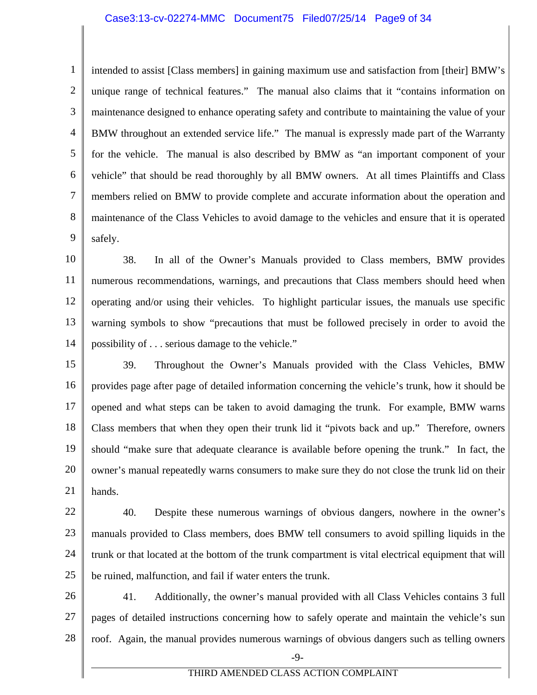# Case3:13-cv-02274-MMC Document75 Filed07/25/14 Page9 of 34

1 2 3 4 5 6 7 8 9 intended to assist [Class members] in gaining maximum use and satisfaction from [their] BMW's unique range of technical features." The manual also claims that it "contains information on maintenance designed to enhance operating safety and contribute to maintaining the value of your BMW throughout an extended service life." The manual is expressly made part of the Warranty for the vehicle. The manual is also described by BMW as "an important component of your vehicle" that should be read thoroughly by all BMW owners. At all times Plaintiffs and Class members relied on BMW to provide complete and accurate information about the operation and maintenance of the Class Vehicles to avoid damage to the vehicles and ensure that it is operated safely.

10 11 12 13 14 38. In all of the Owner's Manuals provided to Class members, BMW provides numerous recommendations, warnings, and precautions that Class members should heed when operating and/or using their vehicles. To highlight particular issues, the manuals use specific warning symbols to show "precautions that must be followed precisely in order to avoid the possibility of . . . serious damage to the vehicle."

15 16 17 18 19 20 21 39. Throughout the Owner's Manuals provided with the Class Vehicles, BMW provides page after page of detailed information concerning the vehicle's trunk, how it should be opened and what steps can be taken to avoid damaging the trunk. For example, BMW warns Class members that when they open their trunk lid it "pivots back and up." Therefore, owners should "make sure that adequate clearance is available before opening the trunk." In fact, the owner's manual repeatedly warns consumers to make sure they do not close the trunk lid on their hands.

22 23 24 25 40. Despite these numerous warnings of obvious dangers, nowhere in the owner's manuals provided to Class members, does BMW tell consumers to avoid spilling liquids in the trunk or that located at the bottom of the trunk compartment is vital electrical equipment that will be ruined, malfunction, and fail if water enters the trunk.

26 27 28 41. Additionally, the owner's manual provided with all Class Vehicles contains 3 full pages of detailed instructions concerning how to safely operate and maintain the vehicle's sun roof. Again, the manual provides numerous warnings of obvious dangers such as telling owners

-9-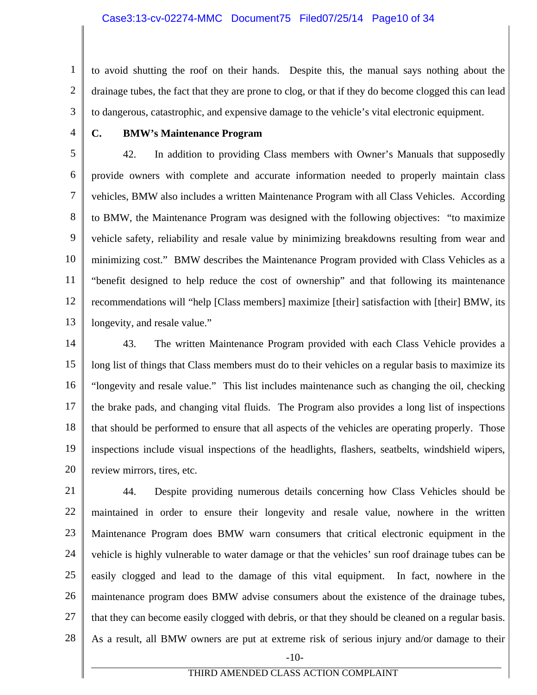2 3 to avoid shutting the roof on their hands. Despite this, the manual says nothing about the drainage tubes, the fact that they are prone to clog, or that if they do become clogged this can lead to dangerous, catastrophic, and expensive damage to the vehicle's vital electronic equipment.

4

1

# **C. BMW's Maintenance Program**

5 6 7 8 9 10 11 12 13 42. In addition to providing Class members with Owner's Manuals that supposedly provide owners with complete and accurate information needed to properly maintain class vehicles, BMW also includes a written Maintenance Program with all Class Vehicles. According to BMW, the Maintenance Program was designed with the following objectives: "to maximize vehicle safety, reliability and resale value by minimizing breakdowns resulting from wear and minimizing cost." BMW describes the Maintenance Program provided with Class Vehicles as a "benefit designed to help reduce the cost of ownership" and that following its maintenance recommendations will "help [Class members] maximize [their] satisfaction with [their] BMW, its longevity, and resale value."

14 15 16 17 18 19 20 43. The written Maintenance Program provided with each Class Vehicle provides a long list of things that Class members must do to their vehicles on a regular basis to maximize its "longevity and resale value." This list includes maintenance such as changing the oil, checking the brake pads, and changing vital fluids. The Program also provides a long list of inspections that should be performed to ensure that all aspects of the vehicles are operating properly. Those inspections include visual inspections of the headlights, flashers, seatbelts, windshield wipers, review mirrors, tires, etc.

21 22 23 24 25 26 27 28 -10- 44. Despite providing numerous details concerning how Class Vehicles should be maintained in order to ensure their longevity and resale value, nowhere in the written Maintenance Program does BMW warn consumers that critical electronic equipment in the vehicle is highly vulnerable to water damage or that the vehicles' sun roof drainage tubes can be easily clogged and lead to the damage of this vital equipment. In fact, nowhere in the maintenance program does BMW advise consumers about the existence of the drainage tubes, that they can become easily clogged with debris, or that they should be cleaned on a regular basis. As a result, all BMW owners are put at extreme risk of serious injury and/or damage to their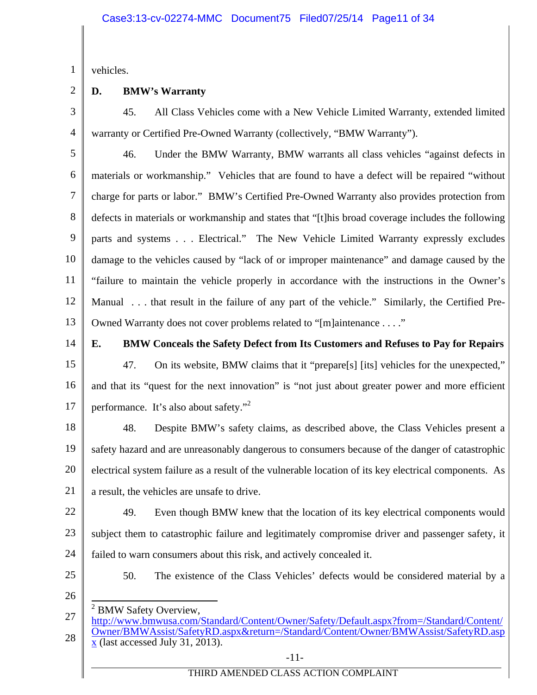1 vehicles.

2

# **D. BMW's Warranty**

3 4 45. All Class Vehicles come with a New Vehicle Limited Warranty, extended limited warranty or Certified Pre-Owned Warranty (collectively, "BMW Warranty").

5 6 7 8 9 10 11 12 13 46. Under the BMW Warranty, BMW warrants all class vehicles "against defects in materials or workmanship." Vehicles that are found to have a defect will be repaired "without charge for parts or labor." BMW's Certified Pre-Owned Warranty also provides protection from defects in materials or workmanship and states that "[t]his broad coverage includes the following parts and systems . . . Electrical." The New Vehicle Limited Warranty expressly excludes damage to the vehicles caused by "lack of or improper maintenance" and damage caused by the "failure to maintain the vehicle properly in accordance with the instructions in the Owner's Manual . . . that result in the failure of any part of the vehicle." Similarly, the Certified Pre-Owned Warranty does not cover problems related to "[m]aintenance . . . ."

14

# **E. BMW Conceals the Safety Defect from Its Customers and Refuses to Pay for Repairs**

15 16 17 47. On its website, BMW claims that it "prepare[s] [its] vehicles for the unexpected," and that its "quest for the next innovation" is "not just about greater power and more efficient performance. It's also about safety."<sup>2</sup>

18 19 20 21 48. Despite BMW's safety claims, as described above, the Class Vehicles present a safety hazard and are unreasonably dangerous to consumers because of the danger of catastrophic electrical system failure as a result of the vulnerable location of its key electrical components. As a result, the vehicles are unsafe to drive.

22 23 24 49. Even though BMW knew that the location of its key electrical components would subject them to catastrophic failure and legitimately compromise driver and passenger safety, it failed to warn consumers about this risk, and actively concealed it.

25

50. The existence of the Class Vehicles' defects would be considered material by a

- 26
	- $\overline{\phantom{a}}$ 2 BMW Safety Overview,

<sup>27</sup>  28 http://www.bmwusa.com/Standard/Content/Owner/Safety/Default.aspx?from=/Standard/Content/ Owner/BMWAssist/SafetyRD.aspx&return=/Standard/Content/Owner/BMWAssist/SafetyRD.asp x (last accessed July 31, 2013).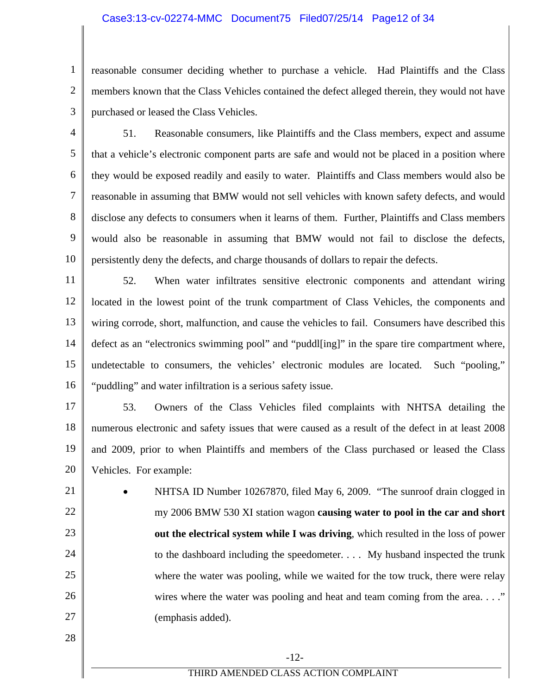# Case3:13-cv-02274-MMC Document75 Filed07/25/14 Page12 of 34

2 3 reasonable consumer deciding whether to purchase a vehicle. Had Plaintiffs and the Class members known that the Class Vehicles contained the defect alleged therein, they would not have purchased or leased the Class Vehicles.

1

4 5 6 7 8 9 10 51. Reasonable consumers, like Plaintiffs and the Class members, expect and assume that a vehicle's electronic component parts are safe and would not be placed in a position where they would be exposed readily and easily to water. Plaintiffs and Class members would also be reasonable in assuming that BMW would not sell vehicles with known safety defects, and would disclose any defects to consumers when it learns of them. Further, Plaintiffs and Class members would also be reasonable in assuming that BMW would not fail to disclose the defects, persistently deny the defects, and charge thousands of dollars to repair the defects.

11 12 13 14 15 16 52. When water infiltrates sensitive electronic components and attendant wiring located in the lowest point of the trunk compartment of Class Vehicles, the components and wiring corrode, short, malfunction, and cause the vehicles to fail. Consumers have described this defect as an "electronics swimming pool" and "puddl[ing]" in the spare tire compartment where, undetectable to consumers, the vehicles' electronic modules are located. Such "pooling," "puddling" and water infiltration is a serious safety issue.

17 18 19 20 53. Owners of the Class Vehicles filed complaints with NHTSA detailing the numerous electronic and safety issues that were caused as a result of the defect in at least 2008 and 2009, prior to when Plaintiffs and members of the Class purchased or leased the Class Vehicles. For example:

21 22 23 24 25 26 27 NHTSA ID Number 10267870, filed May 6, 2009. "The sunroof drain clogged in my 2006 BMW 530 XI station wagon **causing water to pool in the car and short out the electrical system while I was driving**, which resulted in the loss of power to the dashboard including the speedometer. . . . My husband inspected the trunk where the water was pooling, while we waited for the tow truck, there were relay wires where the water was pooling and heat and team coming from the area. . . ." (emphasis added).

28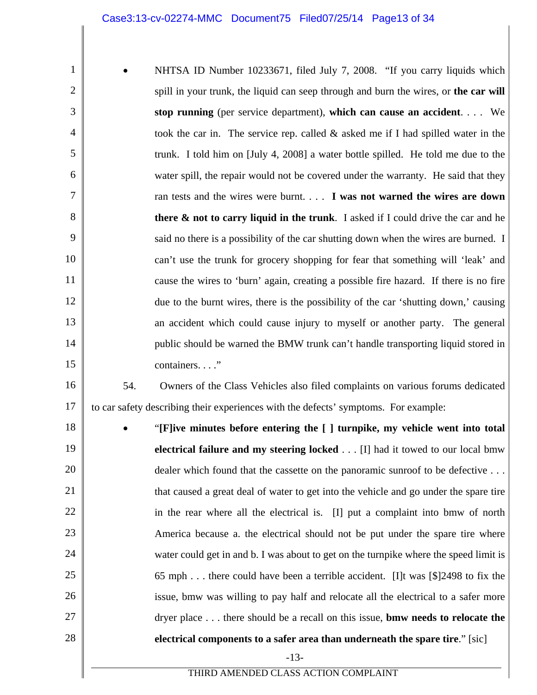1 2 3 4 5 6 7 8 9 10 11 12 13 14 15 NHTSA ID Number 10233671, filed July 7, 2008. "If you carry liquids which spill in your trunk, the liquid can seep through and burn the wires, or **the car will stop running** (per service department), **which can cause an accident**. . . . We took the car in. The service rep. called & asked me if I had spilled water in the trunk. I told him on [July 4, 2008] a water bottle spilled. He told me due to the water spill, the repair would not be covered under the warranty. He said that they ran tests and the wires were burnt. . . . **I was not warned the wires are down there & not to carry liquid in the trunk**. I asked if I could drive the car and he said no there is a possibility of the car shutting down when the wires are burned. I can't use the trunk for grocery shopping for fear that something will 'leak' and cause the wires to 'burn' again, creating a possible fire hazard. If there is no fire due to the burnt wires, there is the possibility of the car 'shutting down,' causing an accident which could cause injury to myself or another party. The general public should be warned the BMW trunk can't handle transporting liquid stored in containers. . . ."

16 17 54. Owners of the Class Vehicles also filed complaints on various forums dedicated to car safety describing their experiences with the defects' symptoms. For example:

18 19 20 21 22 23 24 25 26 27 28 -13- THIRD AMENDED CLASS ACTION COMPLAINT "**[F]ive minutes before entering the [ ] turnpike, my vehicle went into total electrical failure and my steering locked** . . . [I] had it towed to our local bmw dealer which found that the cassette on the panoramic sunroof to be defective . . . that caused a great deal of water to get into the vehicle and go under the spare tire in the rear where all the electrical is. [I] put a complaint into bmw of north America because a. the electrical should not be put under the spare tire where water could get in and b. I was about to get on the turnpike where the speed limit is 65 mph . . . there could have been a terrible accident. [I]t was [\$]2498 to fix the issue, bmw was willing to pay half and relocate all the electrical to a safer more dryer place . . . there should be a recall on this issue, **bmw needs to relocate the electrical components to a safer area than underneath the spare tire**." [sic]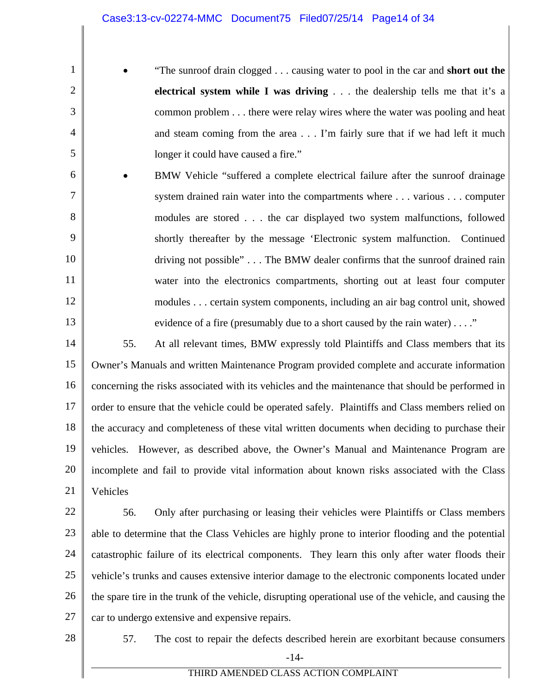"The sunroof drain clogged . . . causing water to pool in the car and **short out the electrical system while I was driving** . . . the dealership tells me that it's a common problem . . . there were relay wires where the water was pooling and heat and steam coming from the area . . . I'm fairly sure that if we had left it much longer it could have caused a fire."

6 7 8 9 10 11 12 13 BMW Vehicle "suffered a complete electrical failure after the sunroof drainage system drained rain water into the compartments where . . . various . . . computer modules are stored . . . the car displayed two system malfunctions, followed shortly thereafter by the message 'Electronic system malfunction. Continued driving not possible" . . . The BMW dealer confirms that the sunroof drained rain water into the electronics compartments, shorting out at least four computer modules . . . certain system components, including an air bag control unit, showed evidence of a fire (presumably due to a short caused by the rain water) . . . ."

14 15 16 17 18 19 20 21 55. At all relevant times, BMW expressly told Plaintiffs and Class members that its Owner's Manuals and written Maintenance Program provided complete and accurate information concerning the risks associated with its vehicles and the maintenance that should be performed in order to ensure that the vehicle could be operated safely. Plaintiffs and Class members relied on the accuracy and completeness of these vital written documents when deciding to purchase their vehicles. However, as described above, the Owner's Manual and Maintenance Program are incomplete and fail to provide vital information about known risks associated with the Class Vehicles

22 23 24 25 26 27 56. Only after purchasing or leasing their vehicles were Plaintiffs or Class members able to determine that the Class Vehicles are highly prone to interior flooding and the potential catastrophic failure of its electrical components. They learn this only after water floods their vehicle's trunks and causes extensive interior damage to the electronic components located under the spare tire in the trunk of the vehicle, disrupting operational use of the vehicle, and causing the car to undergo extensive and expensive repairs.

28

1

2

3

4

5

-14- 57. The cost to repair the defects described herein are exorbitant because consumers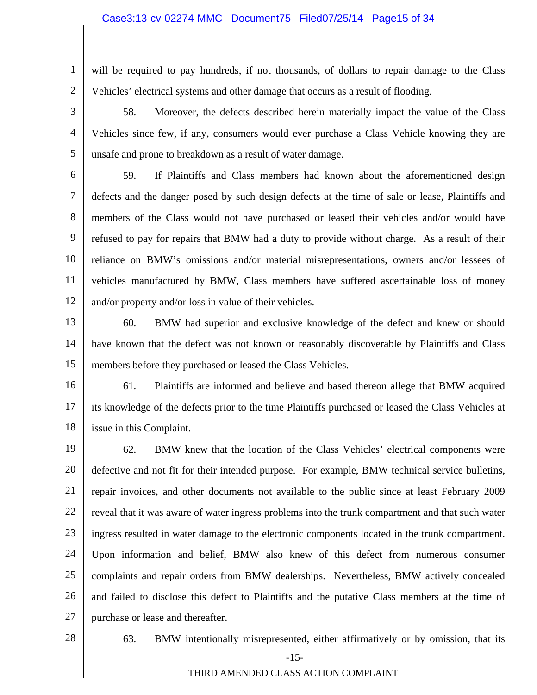### Case3:13-cv-02274-MMC Document75 Filed07/25/14 Page15 of 34

1 2 will be required to pay hundreds, if not thousands, of dollars to repair damage to the Class Vehicles' electrical systems and other damage that occurs as a result of flooding.

3 4 5 58. Moreover, the defects described herein materially impact the value of the Class Vehicles since few, if any, consumers would ever purchase a Class Vehicle knowing they are unsafe and prone to breakdown as a result of water damage.

6 7 8 9 10 11 12 59. If Plaintiffs and Class members had known about the aforementioned design defects and the danger posed by such design defects at the time of sale or lease, Plaintiffs and members of the Class would not have purchased or leased their vehicles and/or would have refused to pay for repairs that BMW had a duty to provide without charge. As a result of their reliance on BMW's omissions and/or material misrepresentations, owners and/or lessees of vehicles manufactured by BMW, Class members have suffered ascertainable loss of money and/or property and/or loss in value of their vehicles.

13

14 15 60. BMW had superior and exclusive knowledge of the defect and knew or should have known that the defect was not known or reasonably discoverable by Plaintiffs and Class members before they purchased or leased the Class Vehicles.

16 17 18 61. Plaintiffs are informed and believe and based thereon allege that BMW acquired its knowledge of the defects prior to the time Plaintiffs purchased or leased the Class Vehicles at issue in this Complaint.

19 20 21 22 23 24 25 26 27 62. BMW knew that the location of the Class Vehicles' electrical components were defective and not fit for their intended purpose. For example, BMW technical service bulletins, repair invoices, and other documents not available to the public since at least February 2009 reveal that it was aware of water ingress problems into the trunk compartment and that such water ingress resulted in water damage to the electronic components located in the trunk compartment. Upon information and belief, BMW also knew of this defect from numerous consumer complaints and repair orders from BMW dealerships. Nevertheless, BMW actively concealed and failed to disclose this defect to Plaintiffs and the putative Class members at the time of purchase or lease and thereafter.

28

-15- 63. BMW intentionally misrepresented, either affirmatively or by omission, that its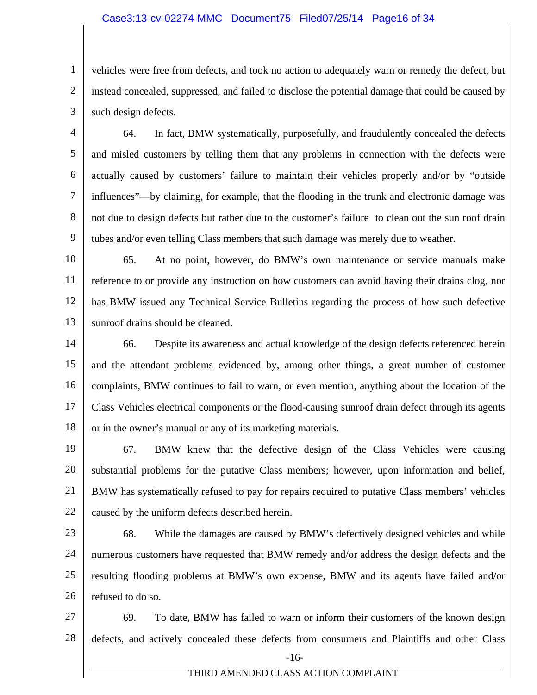# Case3:13-cv-02274-MMC Document75 Filed07/25/14 Page16 of 34

1 2 3 vehicles were free from defects, and took no action to adequately warn or remedy the defect, but instead concealed, suppressed, and failed to disclose the potential damage that could be caused by such design defects.

4 5 6 7 8 9 64. In fact, BMW systematically, purposefully, and fraudulently concealed the defects and misled customers by telling them that any problems in connection with the defects were actually caused by customers' failure to maintain their vehicles properly and/or by "outside influences"—by claiming, for example, that the flooding in the trunk and electronic damage was not due to design defects but rather due to the customer's failure to clean out the sun roof drain tubes and/or even telling Class members that such damage was merely due to weather.

10 11 12 13 65. At no point, however, do BMW's own maintenance or service manuals make reference to or provide any instruction on how customers can avoid having their drains clog, nor has BMW issued any Technical Service Bulletins regarding the process of how such defective sunroof drains should be cleaned.

14 15 16 17 18 66. Despite its awareness and actual knowledge of the design defects referenced herein and the attendant problems evidenced by, among other things, a great number of customer complaints, BMW continues to fail to warn, or even mention, anything about the location of the Class Vehicles electrical components or the flood-causing sunroof drain defect through its agents or in the owner's manual or any of its marketing materials.

19 20 21 22 67. BMW knew that the defective design of the Class Vehicles were causing substantial problems for the putative Class members; however, upon information and belief, BMW has systematically refused to pay for repairs required to putative Class members' vehicles caused by the uniform defects described herein.

23 24 25 26 68. While the damages are caused by BMW's defectively designed vehicles and while numerous customers have requested that BMW remedy and/or address the design defects and the resulting flooding problems at BMW's own expense, BMW and its agents have failed and/or refused to do so.

27 28 -16- 69. To date, BMW has failed to warn or inform their customers of the known design defects, and actively concealed these defects from consumers and Plaintiffs and other Class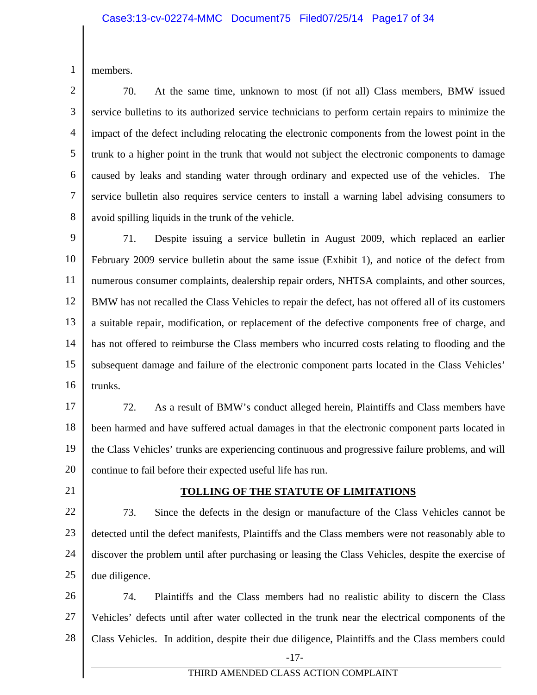1 members.

2 3 4 5 6 7 8 70. At the same time, unknown to most (if not all) Class members, BMW issued service bulletins to its authorized service technicians to perform certain repairs to minimize the impact of the defect including relocating the electronic components from the lowest point in the trunk to a higher point in the trunk that would not subject the electronic components to damage caused by leaks and standing water through ordinary and expected use of the vehicles. The service bulletin also requires service centers to install a warning label advising consumers to avoid spilling liquids in the trunk of the vehicle.

9 10 11 12 13 14 15 16 71. Despite issuing a service bulletin in August 2009, which replaced an earlier February 2009 service bulletin about the same issue (Exhibit 1), and notice of the defect from numerous consumer complaints, dealership repair orders, NHTSA complaints, and other sources, BMW has not recalled the Class Vehicles to repair the defect, has not offered all of its customers a suitable repair, modification, or replacement of the defective components free of charge, and has not offered to reimburse the Class members who incurred costs relating to flooding and the subsequent damage and failure of the electronic component parts located in the Class Vehicles' trunks.

17 18 19 20 72. As a result of BMW's conduct alleged herein, Plaintiffs and Class members have been harmed and have suffered actual damages in that the electronic component parts located in the Class Vehicles' trunks are experiencing continuous and progressive failure problems, and will continue to fail before their expected useful life has run.

21

# **TOLLING OF THE STATUTE OF LIMITATIONS**

22 23 24 25 73. Since the defects in the design or manufacture of the Class Vehicles cannot be detected until the defect manifests, Plaintiffs and the Class members were not reasonably able to discover the problem until after purchasing or leasing the Class Vehicles, despite the exercise of due diligence.

26 27 28 -17- 74. Plaintiffs and the Class members had no realistic ability to discern the Class Vehicles' defects until after water collected in the trunk near the electrical components of the Class Vehicles. In addition, despite their due diligence, Plaintiffs and the Class members could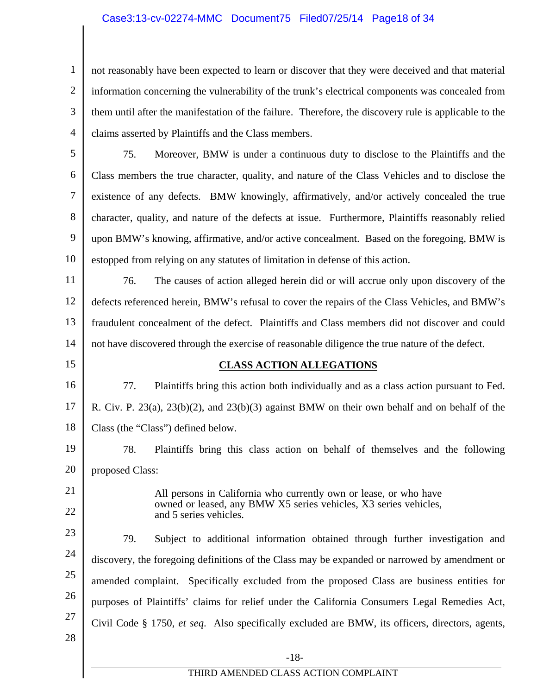# Case3:13-cv-02274-MMC Document75 Filed07/25/14 Page18 of 34

1 2 3 4 not reasonably have been expected to learn or discover that they were deceived and that material information concerning the vulnerability of the trunk's electrical components was concealed from them until after the manifestation of the failure. Therefore, the discovery rule is applicable to the claims asserted by Plaintiffs and the Class members.

5 6 7 8 9 10 75. Moreover, BMW is under a continuous duty to disclose to the Plaintiffs and the Class members the true character, quality, and nature of the Class Vehicles and to disclose the existence of any defects. BMW knowingly, affirmatively, and/or actively concealed the true character, quality, and nature of the defects at issue. Furthermore, Plaintiffs reasonably relied upon BMW's knowing, affirmative, and/or active concealment. Based on the foregoing, BMW is estopped from relying on any statutes of limitation in defense of this action.

11 12 13 14 76. The causes of action alleged herein did or will accrue only upon discovery of the defects referenced herein, BMW's refusal to cover the repairs of the Class Vehicles, and BMW's fraudulent concealment of the defect. Plaintiffs and Class members did not discover and could not have discovered through the exercise of reasonable diligence the true nature of the defect.

15

# **CLASS ACTION ALLEGATIONS**

16 17 18 77. Plaintiffs bring this action both individually and as a class action pursuant to Fed. R. Civ. P. 23(a), 23(b)(2), and 23(b)(3) against BMW on their own behalf and on behalf of the Class (the "Class") defined below.

19 20 78. Plaintiffs bring this class action on behalf of themselves and the following proposed Class:

21 22

All persons in California who currently own or lease, or who have owned or leased, any BMW X5 series vehicles, X3 series vehicles, and 5 series vehicles.

23 24 25 26 27 28 79. Subject to additional information obtained through further investigation and discovery, the foregoing definitions of the Class may be expanded or narrowed by amendment or amended complaint. Specifically excluded from the proposed Class are business entities for purposes of Plaintiffs' claims for relief under the California Consumers Legal Remedies Act, Civil Code § 1750, *et seq*. Also specifically excluded are BMW, its officers, directors, agents,

-18-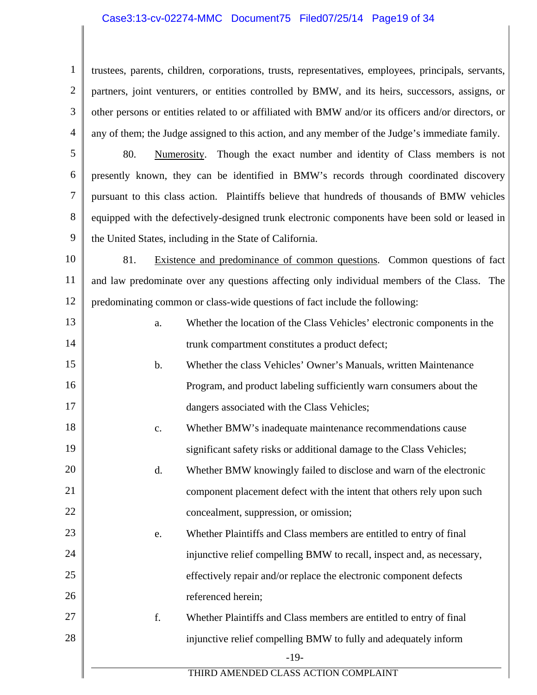### Case3:13-cv-02274-MMC Document75 Filed07/25/14 Page19 of 34

1 2 3 4 trustees, parents, children, corporations, trusts, representatives, employees, principals, servants, partners, joint venturers, or entities controlled by BMW, and its heirs, successors, assigns, or other persons or entities related to or affiliated with BMW and/or its officers and/or directors, or any of them; the Judge assigned to this action, and any member of the Judge's immediate family.

5 6 7 8 9 80. Numerosity. Though the exact number and identity of Class members is not presently known, they can be identified in BMW's records through coordinated discovery pursuant to this class action. Plaintiffs believe that hundreds of thousands of BMW vehicles equipped with the defectively-designed trunk electronic components have been sold or leased in the United States, including in the State of California.

10 11 12 81. Existence and predominance of common questions. Common questions of fact and law predominate over any questions affecting only individual members of the Class. The predominating common or class-wide questions of fact include the following:

13 14 15 a. Whether the location of the Class Vehicles' electronic components in the trunk compartment constitutes a product defect; b. Whether the class Vehicles' Owner's Manuals, written Maintenance

16

17

18

19

20

21

22

- Program, and product labeling sufficiently warn consumers about the dangers associated with the Class Vehicles;
- c. Whether BMW's inadequate maintenance recommendations cause significant safety risks or additional damage to the Class Vehicles;
- d. Whether BMW knowingly failed to disclose and warn of the electronic component placement defect with the intent that others rely upon such concealment, suppression, or omission;
- 23 24 25 26 e. Whether Plaintiffs and Class members are entitled to entry of final injunctive relief compelling BMW to recall, inspect and, as necessary, effectively repair and/or replace the electronic component defects referenced herein;
- 27 28 f. Whether Plaintiffs and Class members are entitled to entry of final injunctive relief compelling BMW to fully and adequately inform
	- -19-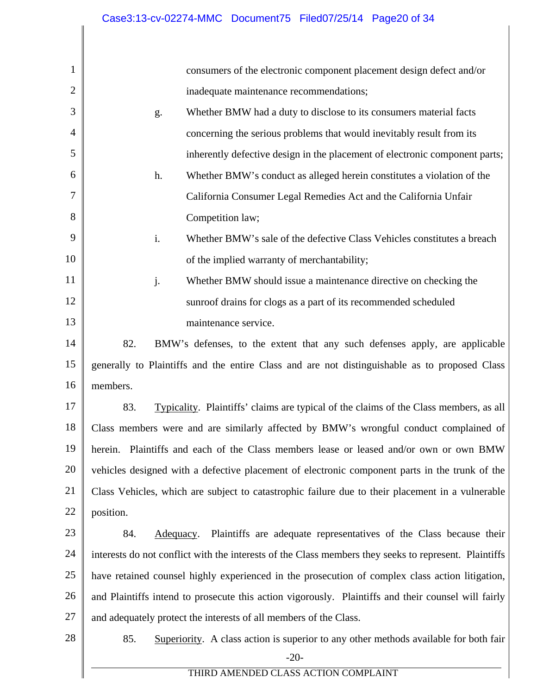| $\mathbf{1}$   | consumers of the electronic component placement design defect and/or                                  |  |  |
|----------------|-------------------------------------------------------------------------------------------------------|--|--|
| $\overline{2}$ | inadequate maintenance recommendations;                                                               |  |  |
| 3              | Whether BMW had a duty to disclose to its consumers material facts<br>g.                              |  |  |
| 4              | concerning the serious problems that would inevitably result from its                                 |  |  |
| 5              | inherently defective design in the placement of electronic component parts;                           |  |  |
| 6              | Whether BMW's conduct as alleged herein constitutes a violation of the<br>h.                          |  |  |
| 7              | California Consumer Legal Remedies Act and the California Unfair                                      |  |  |
| 8              | Competition law;                                                                                      |  |  |
| 9              | i.<br>Whether BMW's sale of the defective Class Vehicles constitutes a breach                         |  |  |
| 10             | of the implied warranty of merchantability;                                                           |  |  |
| 11             | Whether BMW should issue a maintenance directive on checking the<br>j.                                |  |  |
| 12             | sunroof drains for clogs as a part of its recommended scheduled                                       |  |  |
| 13             | maintenance service.                                                                                  |  |  |
| 14             | 82.<br>BMW's defenses, to the extent that any such defenses apply, are applicable                     |  |  |
| 15             | generally to Plaintiffs and the entire Class and are not distinguishable as to proposed Class         |  |  |
| 16             | members.                                                                                              |  |  |
| 17             | Typicality. Plaintiffs' claims are typical of the claims of the Class members, as all<br>83.          |  |  |
| 18             | Class members were and are similarly affected by BMW's wrongful conduct complained of                 |  |  |
| 19             | herein. Plaintiffs and each of the Class members lease or leased and/or own or own BMW                |  |  |
| 20             | vehicles designed with a defective placement of electronic component parts in the trunk of the        |  |  |
| 21             | Class Vehicles, which are subject to catastrophic failure due to their placement in a vulnerable      |  |  |
| 22             | position.                                                                                             |  |  |
| 23             | Plaintiffs are adequate representatives of the Class because their<br>84.<br>Adequacy.                |  |  |
| 24             | interests do not conflict with the interests of the Class members they seeks to represent. Plaintiffs |  |  |
| 25             | have retained counsel highly experienced in the prosecution of complex class action litigation,       |  |  |
| 26             | and Plaintiffs intend to prosecute this action vigorously. Plaintiffs and their counsel will fairly   |  |  |
| 27             | and adequately protect the interests of all members of the Class.                                     |  |  |
| 28             | 85.<br>Superiority. A class action is superior to any other methods available for both fair           |  |  |
|                | $-20-$                                                                                                |  |  |
|                | THIRD AMENDED CLASS ACTION COMPLAINT                                                                  |  |  |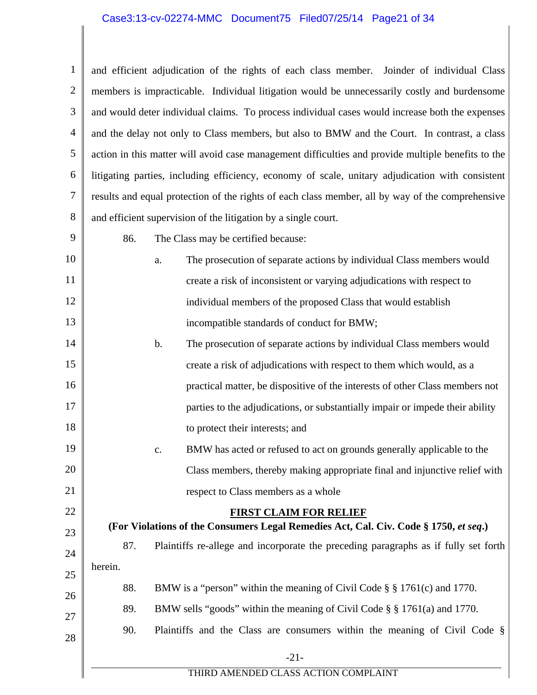# Case3:13-cv-02274-MMC Document75 Filed07/25/14 Page21 of 34

1 2 3 4 5 6 7 8 and efficient adjudication of the rights of each class member. Joinder of individual Class members is impracticable. Individual litigation would be unnecessarily costly and burdensome and would deter individual claims. To process individual cases would increase both the expenses and the delay not only to Class members, but also to BMW and the Court. In contrast, a class action in this matter will avoid case management difficulties and provide multiple benefits to the litigating parties, including efficiency, economy of scale, unitary adjudication with consistent results and equal protection of the rights of each class member, all by way of the comprehensive and efficient supervision of the litigation by a single court.

- 9 10 11 12 13 86. The Class may be certified because: a. The prosecution of separate actions by individual Class members would create a risk of inconsistent or varying adjudications with respect to individual members of the proposed Class that would establish incompatible standards of conduct for BMW;
	- 14 15 16 17 18 b. The prosecution of separate actions by individual Class members would create a risk of adjudications with respect to them which would, as a practical matter, be dispositive of the interests of other Class members not parties to the adjudications, or substantially impair or impede their ability to protect their interests; and
	- 19 20 21 c. BMW has acted or refused to act on grounds generally applicable to the Class members, thereby making appropriate final and injunctive relief with respect to Class members as a whole

22

28

# **FIRST CLAIM FOR RELIEF**

- 23 24 25 **(For Violations of the Consumers Legal Remedies Act, Cal. Civ. Code § 1750,** *et seq***.)**  87. Plaintiffs re-allege and incorporate the preceding paragraphs as if fully set forth herein. 88. BMW is a "person" within the meaning of Civil Code § § 1761(c) and 1770.
- 26 27 89. BMW sells "goods" within the meaning of Civil Code § § 1761(a) and 1770.
	- 90. Plaintiffs and the Class are consumers within the meaning of Civil Code §
		- -21-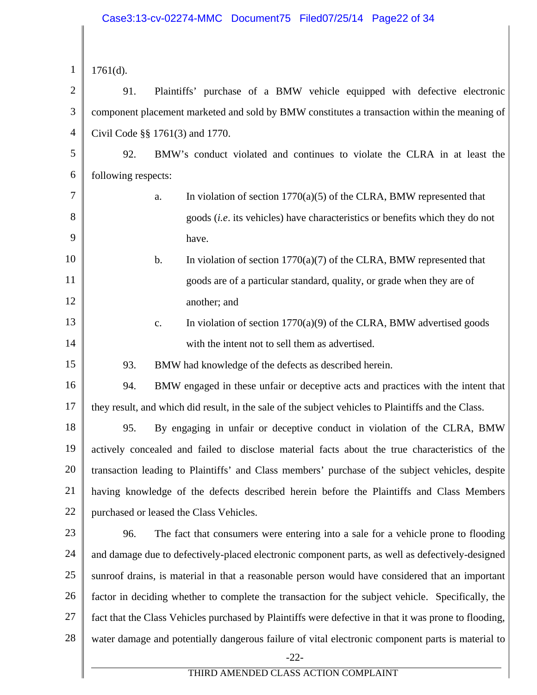| $\mathbf{1}$   | $1761(d)$ .                                                                                           |  |  |
|----------------|-------------------------------------------------------------------------------------------------------|--|--|
| $\overline{2}$ | 91.<br>Plaintiffs' purchase of a BMW vehicle equipped with defective electronic                       |  |  |
| 3              | component placement marketed and sold by BMW constitutes a transaction within the meaning of          |  |  |
| $\overline{4}$ | Civil Code §§ 1761(3) and 1770.                                                                       |  |  |
| 5              | 92.<br>BMW's conduct violated and continues to violate the CLRA in at least the                       |  |  |
| 6              | following respects:                                                                                   |  |  |
| 7              | In violation of section $1770(a)(5)$ of the CLRA, BMW represented that<br>a.                          |  |  |
| 8              | goods ( <i>i.e.</i> its vehicles) have characteristics or benefits which they do not                  |  |  |
| 9              | have.                                                                                                 |  |  |
| 10             | In violation of section $1770(a)(7)$ of the CLRA, BMW represented that<br>b.                          |  |  |
| 11             | goods are of a particular standard, quality, or grade when they are of                                |  |  |
| 12             | another; and                                                                                          |  |  |
| 13             | In violation of section $1770(a)(9)$ of the CLRA, BMW advertised goods<br>c.                          |  |  |
| 14             | with the intent not to sell them as advertised.                                                       |  |  |
| 15             | 93.<br>BMW had knowledge of the defects as described herein.                                          |  |  |
| 16             | 94.<br>BMW engaged in these unfair or deceptive acts and practices with the intent that               |  |  |
| 17             | they result, and which did result, in the sale of the subject vehicles to Plaintiffs and the Class.   |  |  |
| 18             | 95.<br>By engaging in unfair or deceptive conduct in violation of the CLRA, BMW                       |  |  |
| 19             | actively concealed and failed to disclose material facts about the true characteristics of the        |  |  |
| 20             | transaction leading to Plaintiffs' and Class members' purchase of the subject vehicles, despite       |  |  |
| 21             | having knowledge of the defects described herein before the Plaintiffs and Class Members              |  |  |
| 22             | purchased or leased the Class Vehicles.                                                               |  |  |
| 23             | 96.<br>The fact that consumers were entering into a sale for a vehicle prone to flooding              |  |  |
| 24             | and damage due to defectively-placed electronic component parts, as well as defectively-designed      |  |  |
| 25             | sunroof drains, is material in that a reasonable person would have considered that an important       |  |  |
| 26             | factor in deciding whether to complete the transaction for the subject vehicle. Specifically, the     |  |  |
| 27             | fact that the Class Vehicles purchased by Plaintiffs were defective in that it was prone to flooding, |  |  |
| 28             | water damage and potentially dangerous failure of vital electronic component parts is material to     |  |  |
|                | $-22-$                                                                                                |  |  |
|                | THIRD AMENDED CLASS ACTION COMPLAINT                                                                  |  |  |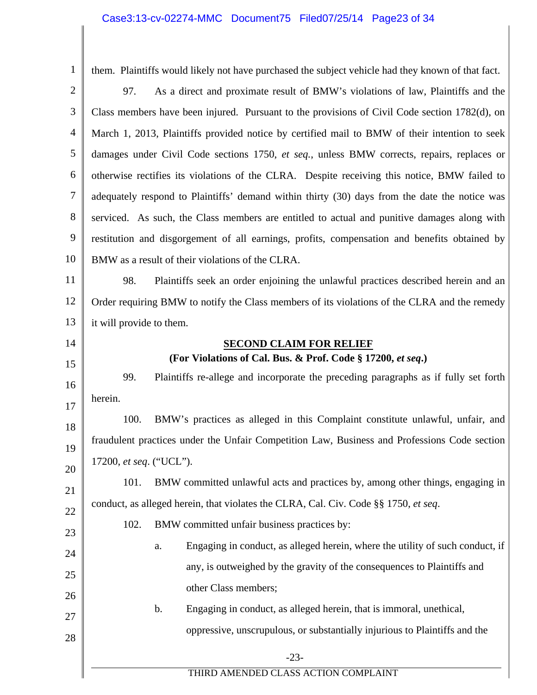| $\mathbf{1}$   | them. Plaintiffs would likely not have purchased the subject vehicle had they known of that fact. |  |  |
|----------------|---------------------------------------------------------------------------------------------------|--|--|
| $\overline{2}$ | As a direct and proximate result of BMW's violations of law, Plaintiffs and the<br>97.            |  |  |
| 3              | Class members have been injured. Pursuant to the provisions of Civil Code section 1782(d), on     |  |  |
| $\overline{4}$ | March 1, 2013, Plaintiffs provided notice by certified mail to BMW of their intention to seek     |  |  |
| 5              | damages under Civil Code sections 1750, et seq., unless BMW corrects, repairs, replaces or        |  |  |
| 6              | otherwise rectifies its violations of the CLRA. Despite receiving this notice, BMW failed to      |  |  |
| 7              | adequately respond to Plaintiffs' demand within thirty (30) days from the date the notice was     |  |  |
| 8              | serviced. As such, the Class members are entitled to actual and punitive damages along with       |  |  |
| 9              | restitution and disgorgement of all earnings, profits, compensation and benefits obtained by      |  |  |
| 10             | BMW as a result of their violations of the CLRA.                                                  |  |  |
| 11             | Plaintiffs seek an order enjoining the unlawful practices described herein and an<br>98.          |  |  |
| 12             | Order requiring BMW to notify the Class members of its violations of the CLRA and the remedy      |  |  |
| 13             | it will provide to them.                                                                          |  |  |
| 14             | <b>SECOND CLAIM FOR RELIEF</b>                                                                    |  |  |
| 15             | (For Violations of Cal. Bus. & Prof. Code § 17200, et seq.)                                       |  |  |
| 16             | 99.<br>Plaintiffs re-allege and incorporate the preceding paragraphs as if fully set forth        |  |  |
| 17             | herein.                                                                                           |  |  |
| 18             | 100.<br>BMW's practices as alleged in this Complaint constitute unlawful, unfair, and             |  |  |
| 19             | fraudulent practices under the Unfair Competition Law, Business and Professions Code section      |  |  |
| 20             | 17200, et seq. ("UCL").                                                                           |  |  |
| 21             | BMW committed unlawful acts and practices by, among other things, engaging in<br>101.             |  |  |
| 22             | conduct, as alleged herein, that violates the CLRA, Cal. Civ. Code §§ 1750, et seq.               |  |  |
| 23             | 102.<br>BMW committed unfair business practices by:                                               |  |  |
| 24             | Engaging in conduct, as alleged herein, where the utility of such conduct, if<br>a.               |  |  |
| 25             | any, is outweighed by the gravity of the consequences to Plaintiffs and                           |  |  |
| 26             | other Class members;                                                                              |  |  |
| 27             | Engaging in conduct, as alleged herein, that is immoral, unethical,<br>b.                         |  |  |
| 28             | oppressive, unscrupulous, or substantially injurious to Plaintiffs and the                        |  |  |
|                | $-23-$                                                                                            |  |  |
|                | THIRD AMENDED CLASS ACTION COMPLAINT                                                              |  |  |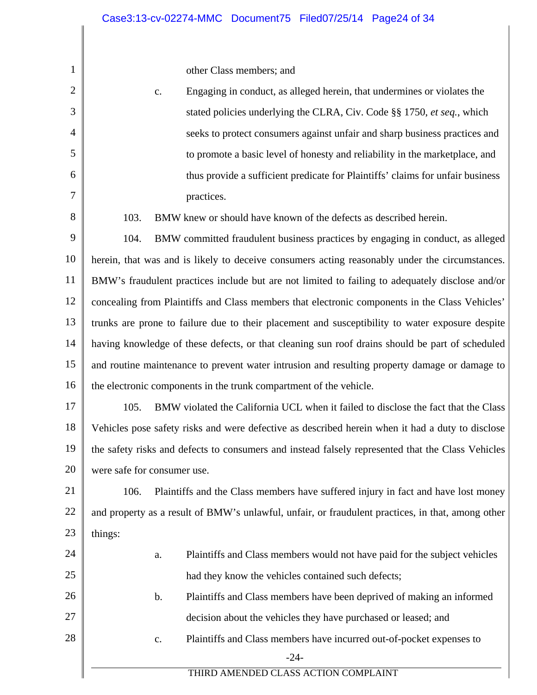other Class members; and

1

2

3

4

5

6

7

8

24

25

27

28

c. Engaging in conduct, as alleged herein, that undermines or violates the stated policies underlying the CLRA, Civ. Code §§ 1750, *et seq.*, which seeks to protect consumers against unfair and sharp business practices and to promote a basic level of honesty and reliability in the marketplace, and thus provide a sufficient predicate for Plaintiffs' claims for unfair business practices. 103. BMW knew or should have known of the defects as described herein.

9 10 11 12 13 14 15 16 104. BMW committed fraudulent business practices by engaging in conduct, as alleged herein, that was and is likely to deceive consumers acting reasonably under the circumstances. BMW's fraudulent practices include but are not limited to failing to adequately disclose and/or concealing from Plaintiffs and Class members that electronic components in the Class Vehicles' trunks are prone to failure due to their placement and susceptibility to water exposure despite having knowledge of these defects, or that cleaning sun roof drains should be part of scheduled and routine maintenance to prevent water intrusion and resulting property damage or damage to the electronic components in the trunk compartment of the vehicle.

17 18 19 20 105. BMW violated the California UCL when it failed to disclose the fact that the Class Vehicles pose safety risks and were defective as described herein when it had a duty to disclose the safety risks and defects to consumers and instead falsely represented that the Class Vehicles were safe for consumer use.

21 22 23 106. Plaintiffs and the Class members have suffered injury in fact and have lost money and property as a result of BMW's unlawful, unfair, or fraudulent practices, in that, among other things:

a. Plaintiffs and Class members would not have paid for the subject vehicles had they know the vehicles contained such defects;

26 b. Plaintiffs and Class members have been deprived of making an informed decision about the vehicles they have purchased or leased; and

c. Plaintiffs and Class members have incurred out-of-pocket expenses to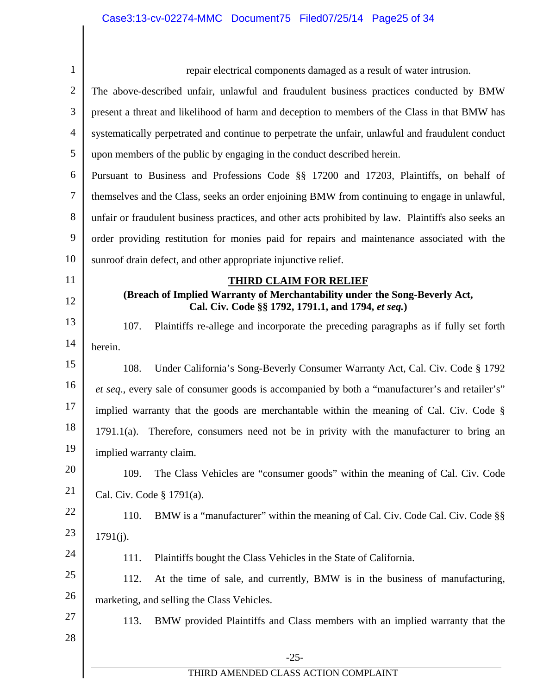| $\mathbf{1}$   | repair electrical components damaged as a result of water intrusion.                                                             |  |  |
|----------------|----------------------------------------------------------------------------------------------------------------------------------|--|--|
| $\overline{2}$ | The above-described unfair, unlawful and fraudulent business practices conducted by BMW                                          |  |  |
| 3              | present a threat and likelihood of harm and deception to members of the Class in that BMW has                                    |  |  |
| 4              | systematically perpetrated and continue to perpetrate the unfair, unlawful and fraudulent conduct                                |  |  |
| 5              | upon members of the public by engaging in the conduct described herein.                                                          |  |  |
| 6              | Pursuant to Business and Professions Code §§ 17200 and 17203, Plaintiffs, on behalf of                                           |  |  |
| 7              | themselves and the Class, seeks an order enjoining BMW from continuing to engage in unlawful,                                    |  |  |
| 8              | unfair or fraudulent business practices, and other acts prohibited by law. Plaintiffs also seeks an                              |  |  |
| 9              | order providing restitution for monies paid for repairs and maintenance associated with the                                      |  |  |
| 10             | sunroof drain defect, and other appropriate injunctive relief.                                                                   |  |  |
| 11             | <b>THIRD CLAIM FOR RELIEF</b>                                                                                                    |  |  |
| 12             | (Breach of Implied Warranty of Merchantability under the Song-Beverly Act,<br>Cal. Civ. Code §§ 1792, 1791.1, and 1794, et seq.) |  |  |
| 13             | 107.<br>Plaintiffs re-allege and incorporate the preceding paragraphs as if fully set forth                                      |  |  |
| 14             | herein.                                                                                                                          |  |  |
| 15             | 108.<br>Under California's Song-Beverly Consumer Warranty Act, Cal. Civ. Code § 1792                                             |  |  |
| 16             | et seq., every sale of consumer goods is accompanied by both a "manufacturer's and retailer's"                                   |  |  |
| 17             | implied warranty that the goods are merchantable within the meaning of Cal. Civ. Code §                                          |  |  |
| 18             | $1791.1(a)$ . Therefore, consumers need not be in privity with the manufacturer to bring an                                      |  |  |
| 19             | implied warranty claim.                                                                                                          |  |  |
| 20             | 109.<br>The Class Vehicles are "consumer goods" within the meaning of Cal. Civ. Code                                             |  |  |
| 21             | Cal. Civ. Code § 1791(a).                                                                                                        |  |  |
| 22             | 110.<br>BMW is a "manufacturer" within the meaning of Cal. Civ. Code Cal. Civ. Code $\S$                                         |  |  |
| 23             | 1791(j).                                                                                                                         |  |  |
| 24             | Plaintiffs bought the Class Vehicles in the State of California.<br>111.                                                         |  |  |
| 25             | 112.<br>At the time of sale, and currently, BMW is in the business of manufacturing,                                             |  |  |
| 26             | marketing, and selling the Class Vehicles.                                                                                       |  |  |
| 27             | 113.<br>BMW provided Plaintiffs and Class members with an implied warranty that the                                              |  |  |
| 28             |                                                                                                                                  |  |  |
|                | $-25-$                                                                                                                           |  |  |
|                | THIRD AMENDED CLASS ACTION COMPLAINT                                                                                             |  |  |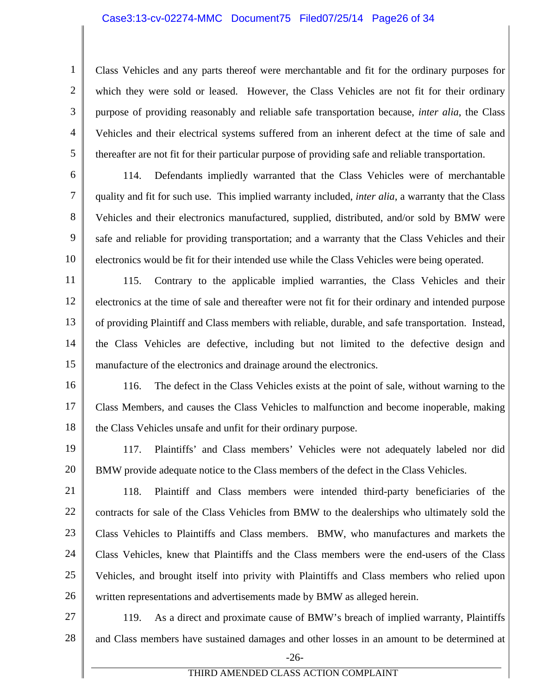### Case3:13-cv-02274-MMC Document75 Filed07/25/14 Page26 of 34

1

2

3

4

5

7

8

Class Vehicles and any parts thereof were merchantable and fit for the ordinary purposes for which they were sold or leased. However, the Class Vehicles are not fit for their ordinary purpose of providing reasonably and reliable safe transportation because, *inter alia*, the Class Vehicles and their electrical systems suffered from an inherent defect at the time of sale and thereafter are not fit for their particular purpose of providing safe and reliable transportation.

6 9 10 114. Defendants impliedly warranted that the Class Vehicles were of merchantable quality and fit for such use. This implied warranty included, *inter alia*, a warranty that the Class Vehicles and their electronics manufactured, supplied, distributed, and/or sold by BMW were safe and reliable for providing transportation; and a warranty that the Class Vehicles and their electronics would be fit for their intended use while the Class Vehicles were being operated.

11 12 13 14 15 115. Contrary to the applicable implied warranties, the Class Vehicles and their electronics at the time of sale and thereafter were not fit for their ordinary and intended purpose of providing Plaintiff and Class members with reliable, durable, and safe transportation. Instead, the Class Vehicles are defective, including but not limited to the defective design and manufacture of the electronics and drainage around the electronics.

16 17 18 116. The defect in the Class Vehicles exists at the point of sale, without warning to the Class Members, and causes the Class Vehicles to malfunction and become inoperable, making the Class Vehicles unsafe and unfit for their ordinary purpose.

19 20 117. Plaintiffs' and Class members' Vehicles were not adequately labeled nor did BMW provide adequate notice to the Class members of the defect in the Class Vehicles.

21 22 23 24 25 26 118. Plaintiff and Class members were intended third-party beneficiaries of the contracts for sale of the Class Vehicles from BMW to the dealerships who ultimately sold the Class Vehicles to Plaintiffs and Class members. BMW, who manufactures and markets the Class Vehicles, knew that Plaintiffs and the Class members were the end-users of the Class Vehicles, and brought itself into privity with Plaintiffs and Class members who relied upon written representations and advertisements made by BMW as alleged herein.

27 28 119. As a direct and proximate cause of BMW's breach of implied warranty, Plaintiffs and Class members have sustained damages and other losses in an amount to be determined at

-26-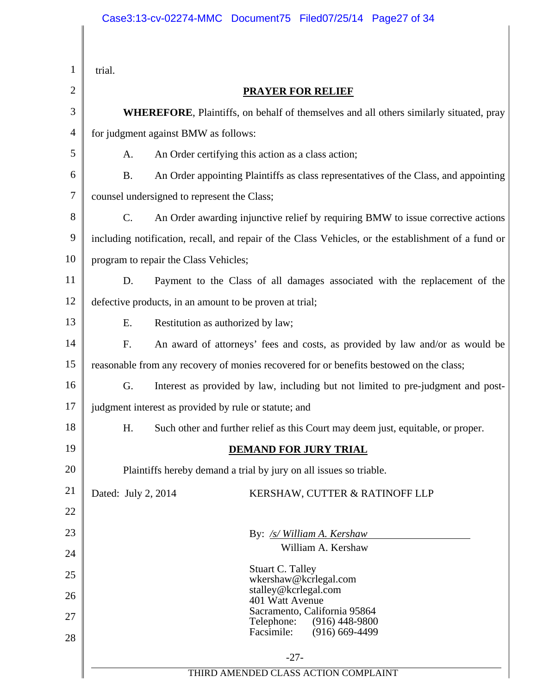| 1        | trial.                                                                                              |  |  |
|----------|-----------------------------------------------------------------------------------------------------|--|--|
| 2        | <b>PRAYER FOR RELIEF</b>                                                                            |  |  |
| 3        | <b>WHEREFORE, Plaintiffs, on behalf of themselves and all others similarly situated, pray</b>       |  |  |
| 4        | for judgment against BMW as follows:                                                                |  |  |
| 5        | An Order certifying this action as a class action;<br>A.                                            |  |  |
| 6        | <b>B.</b><br>An Order appointing Plaintiffs as class representatives of the Class, and appointing   |  |  |
| 7        | counsel undersigned to represent the Class;                                                         |  |  |
| 8        | C.<br>An Order awarding injunctive relief by requiring BMW to issue corrective actions              |  |  |
| 9        | including notification, recall, and repair of the Class Vehicles, or the establishment of a fund or |  |  |
| 10       | program to repair the Class Vehicles;                                                               |  |  |
| 11       | Payment to the Class of all damages associated with the replacement of the<br>D.                    |  |  |
| 12       | defective products, in an amount to be proven at trial;                                             |  |  |
| 13       | E.<br>Restitution as authorized by law;                                                             |  |  |
| 14       | F.<br>An award of attorneys' fees and costs, as provided by law and/or as would be                  |  |  |
| 15       | reasonable from any recovery of monies recovered for or benefits bestowed on the class;             |  |  |
| 16       | G.<br>Interest as provided by law, including but not limited to pre-judgment and post-              |  |  |
| 17       | judgment interest as provided by rule or statute; and                                               |  |  |
| 18       | H.<br>Such other and further relief as this Court may deem just, equitable, or proper.              |  |  |
| 19       | <b>DEMAND FOR JURY TRIAL</b>                                                                        |  |  |
| 20       | Plaintiffs hereby demand a trial by jury on all issues so triable.                                  |  |  |
| 21       | Dated: July 2, 2014<br>KERSHAW, CUTTER & RATINOFF LLP                                               |  |  |
| 22       |                                                                                                     |  |  |
| 23       | By: /s/ William A. Kershaw<br>William A. Kershaw                                                    |  |  |
| 24       |                                                                                                     |  |  |
| 25       | Stuart C. Talley<br>wkershaw@kcrlegal.com                                                           |  |  |
| 26       | stalley@kcrlegal.com<br>401 Watt Avenue<br>Sacramento, California 95864                             |  |  |
| 27<br>28 | Telephone:<br>$(916)$ 448-9800<br>Facsimile:<br>$(916)$ 669-4499                                    |  |  |
|          | $-27-$                                                                                              |  |  |
|          | THIRD AMENDED CLASS ACTION COMPLAINT                                                                |  |  |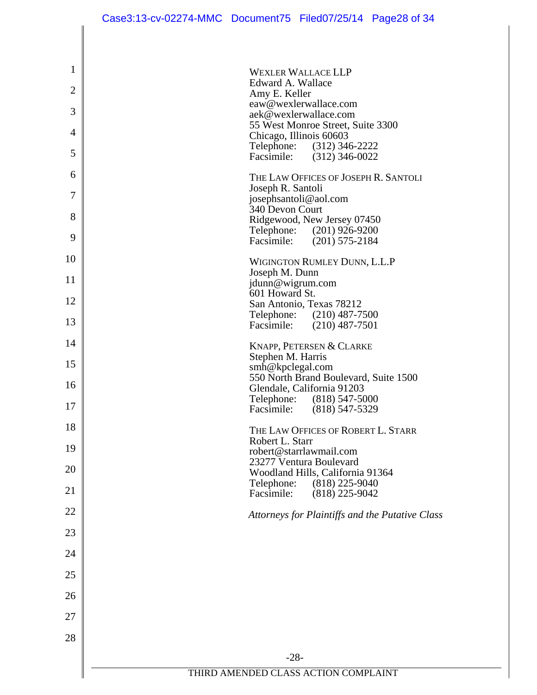|                | Case3:13-cv-02274-MMC Document75 Filed07/25/14 Page28 of 34      |
|----------------|------------------------------------------------------------------|
|                |                                                                  |
| 1              | <b>WEXLER WALLACE LLP</b>                                        |
| $\overline{2}$ | Edward A. Wallace                                                |
| 3              | Amy E. Keller<br>eaw@wexlerwallace.com                           |
|                | aek@wexlerwallace.com<br>55 West Monroe Street, Suite 3300       |
| 4              | Chicago, Illinois 60603<br>Telephone: (312) 346-2222             |
| 5              | Facsimile: (312) 346-0022                                        |
| 6              | THE LAW OFFICES OF JOSEPH R. SANTOLI                             |
| 7              | Joseph R. Santoli<br>josephsantoli@aol.com                       |
| 8              | 340 Devon Court<br>Ridgewood, New Jersey 07450                   |
| 9              | Telephone: (201) 926-9200<br>Facsimile: (201) 575-2184           |
| 10             | WIGINGTON RUMLEY DUNN, L.L.P                                     |
| 11             | Joseph M. Dunn<br>jdunn@wigrum.com                               |
| 12             | 601 Howard St.<br>San Antonio, Texas 78212                       |
| 13             | Telephone: (210) 487-7500                                        |
| 14             | Facsimile: (210) 487-7501                                        |
|                | KNAPP, PETERSEN & CLARKE<br>Stephen M. Harris                    |
| 15             | smh@kpclegal.com<br>550 North Brand Boulevard, Suite 1500        |
| 16             | Glendale, California 91203                                       |
| 17             | Telephone:<br>$(818)$ 547-5000<br>Facsimile:<br>$(818)$ 547-5329 |
| 18             | THE LAW OFFICES OF ROBERT L. STARR                               |
| 19             | Robert L. Starr<br>robert@starrlawmail.com                       |
| 20             | 23277 Ventura Boulevard<br>Woodland Hills, California 91364      |
| 21             | Telephone:<br>$(818)$ 225-9040                                   |
| 22             | Facsimile:<br>$(818)$ 225-9042                                   |
|                | Attorneys for Plaintiffs and the Putative Class                  |
| 23             |                                                                  |
| 24             |                                                                  |
| 25             |                                                                  |
| 26             |                                                                  |
| 27             |                                                                  |
| 28             |                                                                  |
|                | $-28-$                                                           |
|                | THIRD AMENDED CLASS ACTION COMPLAINT                             |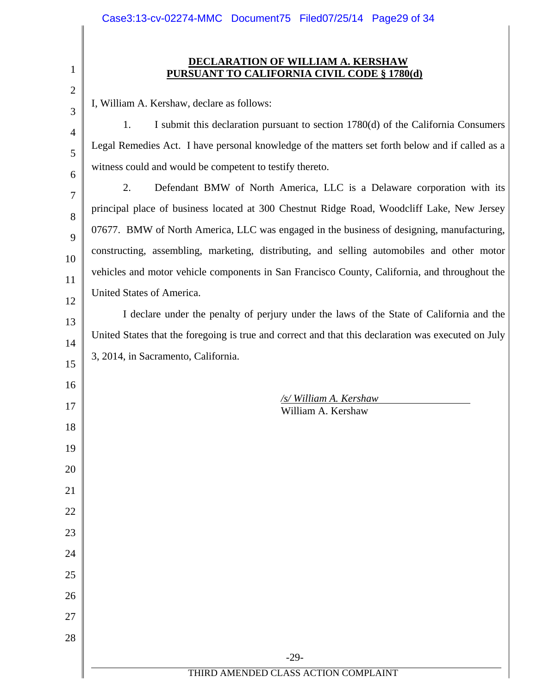# **DECLARATION OF WILLIAM A. KERSHAW PURSUANT TO CALIFORNIA CIVIL CODE § 1780(d)**

I, William A. Kershaw, declare as follows:

1

2

3

4

5

6

7

8

9

10

11

12

13

14

15

16

17

18

19

20

21

22

23

24

25

26

27

28

 1. I submit this declaration pursuant to section 1780(d) of the California Consumers Legal Remedies Act. I have personal knowledge of the matters set forth below and if called as a witness could and would be competent to testify thereto.

2. Defendant BMW of North America, LLC is a Delaware corporation with its principal place of business located at 300 Chestnut Ridge Road, Woodcliff Lake, New Jersey 07677. BMW of North America, LLC was engaged in the business of designing, manufacturing, constructing, assembling, marketing, distributing, and selling automobiles and other motor vehicles and motor vehicle components in San Francisco County, California, and throughout the United States of America.

 I declare under the penalty of perjury under the laws of the State of California and the United States that the foregoing is true and correct and that this declaration was executed on July 3, 2014, in Sacramento, California.

> */s/ William A. Kershaw*  William A. Kershaw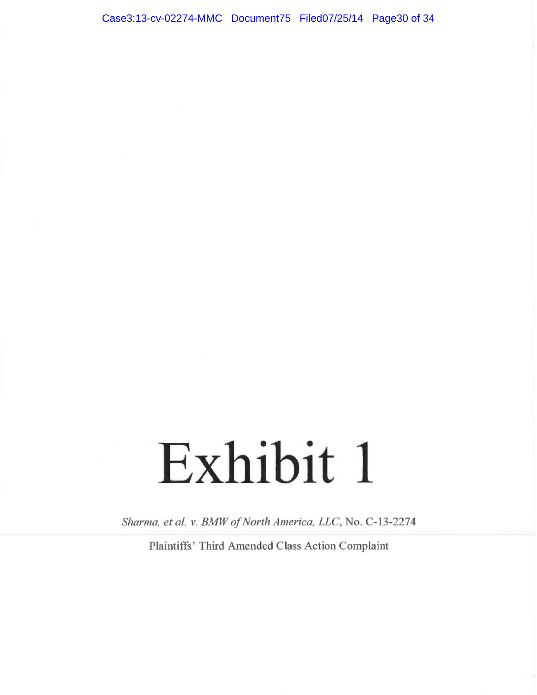# Exhibit 1

Sharma, et al. v. BMW of North America, LLC, No. C-13-2274

Plaintiffs' Third Amended Class Action Complaint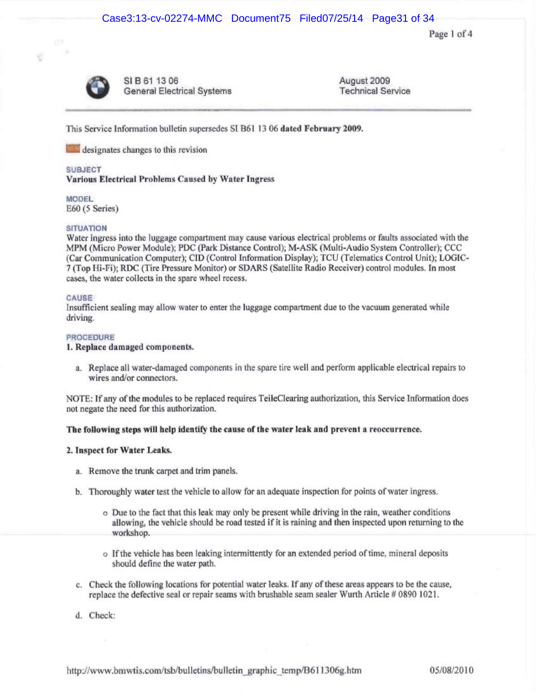Page 1 of 4



Ú

SIB 61 13 06 General Electrical Systems August 2009 Technical Service

This Service Information bulletin supersedes SI B61 13 06 dated February 2009.

designates changes to this revision

### SUBJECT

### Various Electrical Problems Caused by Water Ingress

MODEL E60 (5 Series)

### **SITUATION**

Water ingress into the luggage compartment may cause various electrical problems or faults associated with the MPM (Micro Power Module); PDC (Park Distance Control); M-ASK (Multi-Audio System Controller); CCC (Car Communication Computer); CID (Control Information Display); TCU (Telematics Control Unit); LOGIC-7 (Top Iii-Pi); RDC (Tire Pressure Monitor) or SDARS (Satellite Radio Receiver) control modules. In most cases, the water collects in the spare wheel recess.

### CAUSE

Insufficient sealing may allow water to enter the luggage compartment due to the vacuum generated while driving.

### **PROCEDURE**

1. Replace damaged components.

a. Replace ail water-damaged components in the spare tine well and perforrn applicable electrical repairs to wires and/or connectors.

NOTE: If any of the modules to be replaced requires TeileClearing authorization, this Service Information does not negate the need for this authorization.

### The following steps will help identify the cause of the water leak and prevent a reoccurrence.

### 2. Inspect for Water Leaks.

- a. Remove the trunk carpet and trim panels.
- b. Thoroughly water test the vehicle to allow for an adequate inspection for points of water ingress.
	- o Due to the fact that this leak may only be present while driving in the rain, weather conditions allowing, the vehicle should be road tested if it is raining and then inspected upon returning to the workshop.
	- o Ifthe vehicle has been leaking intermittently for an extended period of time, mineral deposits should define the water path.
- c. Check the following locations for potential water leaks. If any of these areas appears to be the cause, replace the defective seal or repair seams with brushable seam sealer Wurth Article # 0890 1021.
- d. Check:

http://www.bmwtis.com/tsb/bulletins/bulletin\_graphic\_temp/B611306g.htm 05/08/2010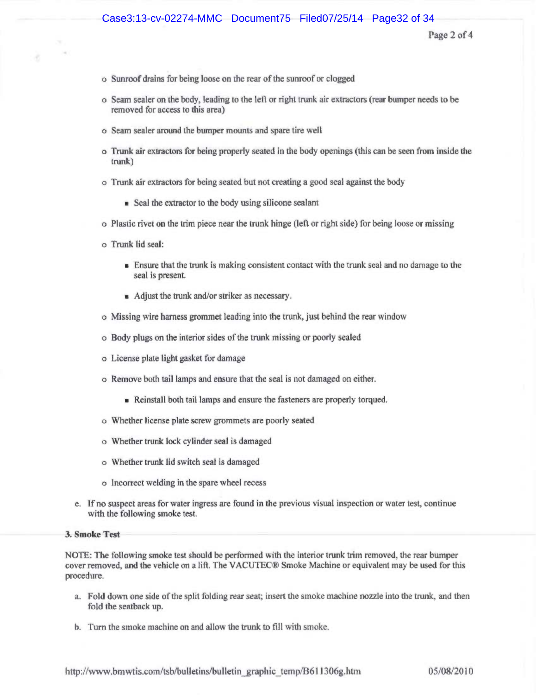### Case3:13-cv-02274-MMC Document75 Filed07/25/14 Page32 of 34

Page 2 of 4

- o Sunroof drains for being loose on the rear of the sunroof or clogged
- o Seam sealer on the body, leading to the left or right trunk air extractors (rear bumper needs to be removed for access to this area)
- o Seam sealer around the bumper mounts and spare tire well
- o Trunk air extractors for being properly seated in the body openings (this can be seen from inside the trunk)
- o Trunk air extractors for being seated but not creating a good seal against the body
	- Seal the extractor to the body using silicone sealant
- o Plastic rivet on the vim piece near the trunk hinge (left or right side) for being loose or missing
- o Trunk lid seal:
	- Ensure that the trunk is making consistent contact with the trunk seal and no damage to the seal is present.
	- Adjust the trunk and/or striker as necessary.
- o Missing wire harness grommet leading into the trunk, just behind the rear window
- o Body plugs on the interior sides of the trunk missing or poorly sealed
- o License plate tight gasket for damage
- o Remove both tail lamps and ensure that the seal is not damaged on either.
	- Reinstall both tail lamps and ensure the fasteners are properly torqued.
- o Whether license plate screw grommets are poorly seated
- o Whether trunk lock cylinder seal is damaged
- o Whether trunk lid switch seal is damaged
- o Incorrect welding in the spare wheel recess
- e. If no suspect areas for water ingess are found in the previous visual inspection or water test, continue with the following smoke test.

### 3. Smoke Test

NOTE: The following smoke test should be performed with the interior trunk trim removed, the rear bumper cover removed, and the vehicle on a lift. The VACUTEC® Smoke Machine or equivalent may be used for this procedure.

- a. Fold down one side of the split folding rear seat; insert the smoke machine nozzle into the trunk, and then fold the seatback up.
- b. Turn the smoke machine on and allow the trunk to fill with smoke.

http://www.bmwtis.com/tsb/bulletins/bulletin\_graphic\_temp/B611306g.htm 05/08/2010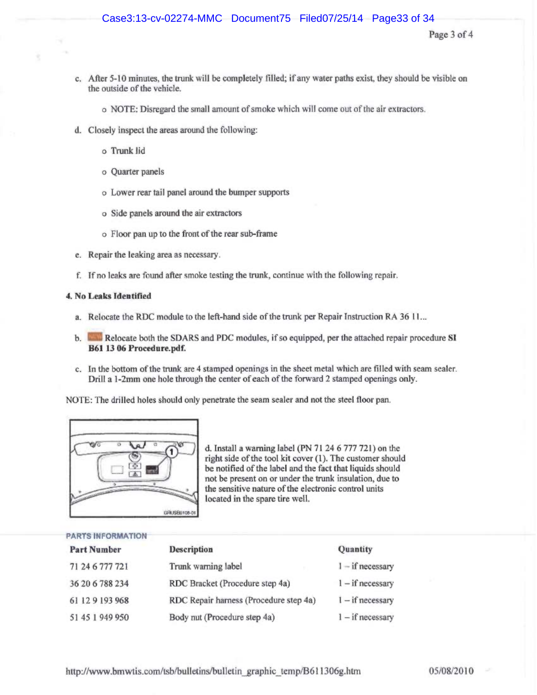- c. After 5-10 minutes, the trunk will be completely filled; if any water paths exist, they should be visible on the outside of the vehicle.
	- o NOTE: Disregard the small amount of smoke which will come out of the air extractors.
- d. Closely inspect the areas around the following:
	- o Trunk lid
	- o Quarter panels
	- o Lower rear tail panel azound the bumper supports
	- o Side panels around the air extractors
	- o Floor pan up to the front of the rear sub-frame
- e. Repair the leaking area as necessary.
- f. Tf no leaks are found after smoke testing the trunk, continue with the following repair.

### 4. No Leaks Identified

- a. Relocate the RDC module to the left-hand side of the trunk per Repair instruction RA 36 11...
- b. **EXT** Relocate both the SDARS and PDC modules, if so equipped, per the attached repair procedure SI B61 13 06 Procedure.pdf.
- c. In the bottom of the trunk are 4 stamped openings in the sheet metal which are filled with seam sealer. Drill a 1-2mm one hole through the center of each of the forward 2 stamped openings only.

NOTE: The drilled holes should only penetrate the seam sealer and not the steel floor pan.



d. Install a warning label (PN 71 24 6 777 721) on the right side of the tool kit cover (1). The customer should be notified of the label and the fact that liquids should not be present on or under the trunk insulation, due to the sensitive nature of the electronic control units located in the spare tire well.

### PARTS INFORMATION

| <b>Part Number</b> | <b>Description</b>                     | Quantity           |
|--------------------|----------------------------------------|--------------------|
| 71 24 6 777 721    | Trunk warning label                    | $1 - if necessary$ |
| 36 20 6 788 234    | RDC Bracket (Procedure step 4a)        | $1 - if necessary$ |
| 61 12 9 193 968    | RDC Repair harness (Procedure step 4a) | $1 - if necessary$ |
| 51 45 1 949 950    | Body nut (Procedure step 4a)           | $1 - if necessary$ |